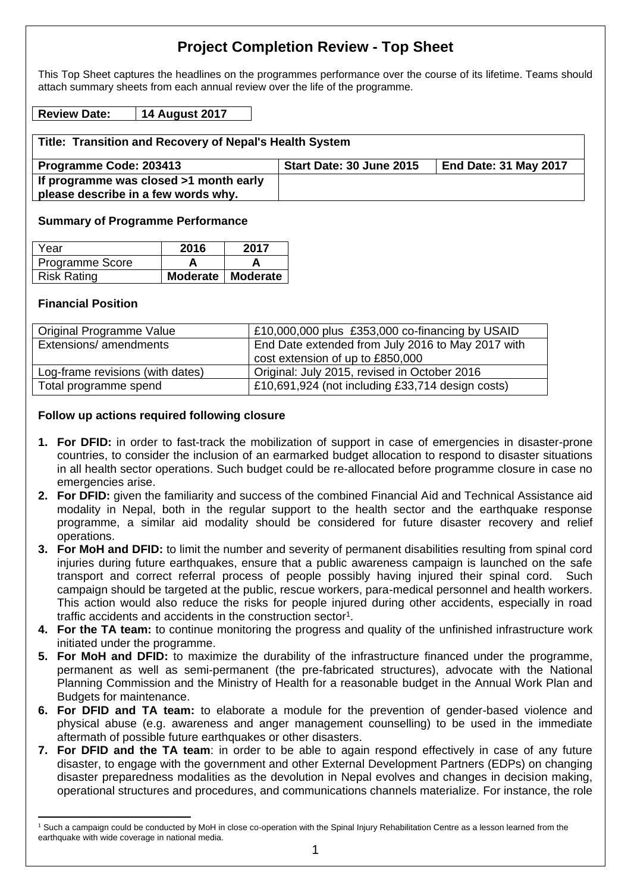# **Project Completion Review - Top Sheet**

This Top Sheet captures the headlines on the programmes performance over the course of its lifetime. Teams should attach summary sheets from each annual review over the life of the programme.

#### **Review Date: 14 August 2017**

| Title: Transition and Recovery of Nepal's Health System |                          |                       |  |
|---------------------------------------------------------|--------------------------|-----------------------|--|
| Programme Code: 203413                                  | Start Date: 30 June 2015 | End Date: 31 May 2017 |  |
| If programme was closed >1 month early                  |                          |                       |  |
| please describe in a few words why.                     |                          |                       |  |

#### **Summary of Programme Performance**

| Year            | 2016                | 2017 |
|-----------------|---------------------|------|
| Programme Score |                     |      |
| Risk Rating     | Moderate   Moderate |      |

#### **Financial Position**

1

| Original Programme Value         | £10,000,000 plus £353,000 co-financing by USAID                                       |
|----------------------------------|---------------------------------------------------------------------------------------|
| Extensions/ amendments           | End Date extended from July 2016 to May 2017 with<br>cost extension of up to £850,000 |
| Log-frame revisions (with dates) | Original: July 2015, revised in October 2016                                          |
| Total programme spend            | £10,691,924 (not including £33,714 design costs)                                      |

#### **Follow up actions required following closure**

- **1. For DFID:** in order to fast-track the mobilization of support in case of emergencies in disaster-prone countries, to consider the inclusion of an earmarked budget allocation to respond to disaster situations in all health sector operations. Such budget could be re-allocated before programme closure in case no emergencies arise.
- **2. For DFID:** given the familiarity and success of the combined Financial Aid and Technical Assistance aid modality in Nepal, both in the regular support to the health sector and the earthquake response programme, a similar aid modality should be considered for future disaster recovery and relief operations.
- **3. For MoH and DFID:** to limit the number and severity of permanent disabilities resulting from spinal cord injuries during future earthquakes, ensure that a public awareness campaign is launched on the safe transport and correct referral process of people possibly having injured their spinal cord. Such campaign should be targeted at the public, rescue workers, para-medical personnel and health workers. This action would also reduce the risks for people injured during other accidents, especially in road traffic accidents and accidents in the construction sector<sup>1</sup>.
- **4. For the TA team:** to continue monitoring the progress and quality of the unfinished infrastructure work initiated under the programme.
- **5. For MoH and DFID:** to maximize the durability of the infrastructure financed under the programme, permanent as well as semi-permanent (the pre-fabricated structures), advocate with the National Planning Commission and the Ministry of Health for a reasonable budget in the Annual Work Plan and Budgets for maintenance.
- **6. For DFID and TA team:** to elaborate a module for the prevention of gender-based violence and physical abuse (e.g. awareness and anger management counselling) to be used in the immediate aftermath of possible future earthquakes or other disasters.
- **7. For DFID and the TA team**: in order to be able to again respond effectively in case of any future disaster, to engage with the government and other External Development Partners (EDPs) on changing disaster preparedness modalities as the devolution in Nepal evolves and changes in decision making, operational structures and procedures, and communications channels materialize. For instance, the role

<sup>1</sup> Such a campaign could be conducted by MoH in close co-operation with the Spinal Injury Rehabilitation Centre as a lesson learned from the earthquake with wide coverage in national media.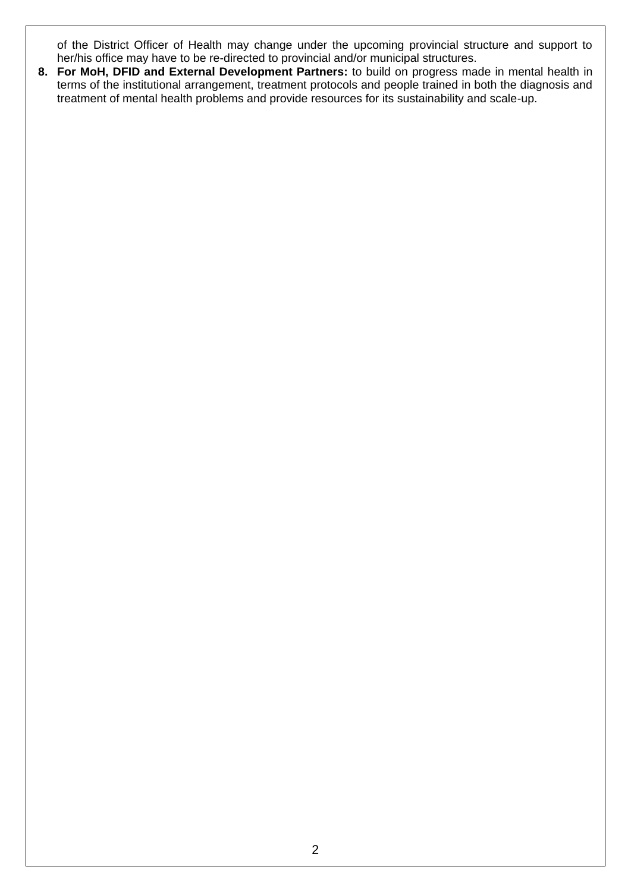of the District Officer of Health may change under the upcoming provincial structure and support to her/his office may have to be re-directed to provincial and/or municipal structures.

**8. For MoH, DFID and External Development Partners:** to build on progress made in mental health in terms of the institutional arrangement, treatment protocols and people trained in both the diagnosis and treatment of mental health problems and provide resources for its sustainability and scale-up.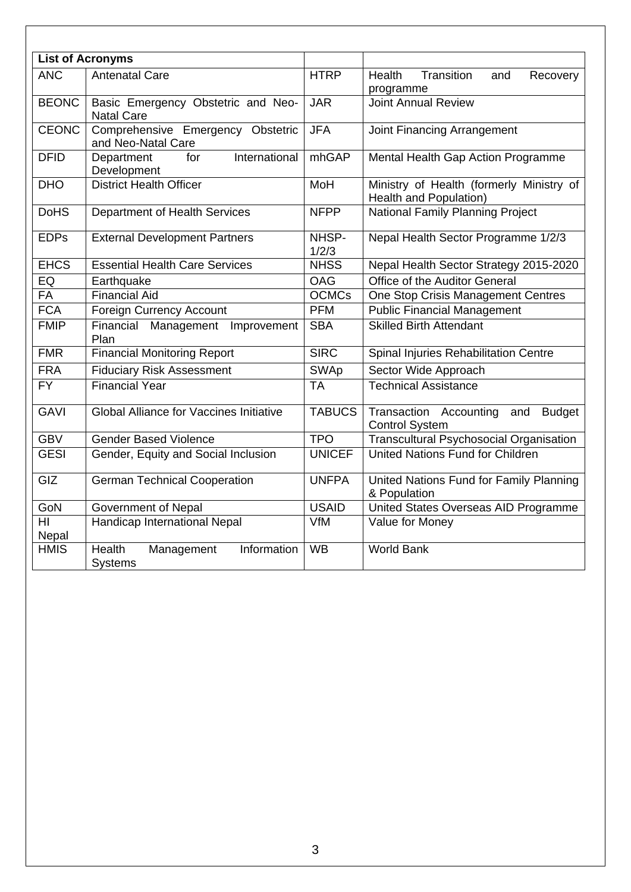|              | <b>List of Acronyms</b>                                 |                |                                                                         |  |
|--------------|---------------------------------------------------------|----------------|-------------------------------------------------------------------------|--|
| <b>ANC</b>   | <b>Antenatal Care</b>                                   | <b>HTRP</b>    | <b>Transition</b><br>Health<br>Recovery<br>and<br>programme             |  |
| <b>BEONC</b> | Basic Emergency Obstetric and Neo-<br><b>Natal Care</b> | <b>JAR</b>     | <b>Joint Annual Review</b>                                              |  |
| <b>CEONC</b> | Comprehensive Emergency Obstetric<br>and Neo-Natal Care | <b>JFA</b>     | Joint Financing Arrangement                                             |  |
| <b>DFID</b>  | International<br>Department<br>for<br>Development       | mhGAP          | Mental Health Gap Action Programme                                      |  |
| <b>DHO</b>   | <b>District Health Officer</b>                          | MoH            | Ministry of Health (formerly Ministry of<br>Health and Population)      |  |
| <b>DoHS</b>  | Department of Health Services                           | <b>NFPP</b>    | <b>National Family Planning Project</b>                                 |  |
| <b>EDPs</b>  | <b>External Development Partners</b>                    | NHSP-<br>1/2/3 | Nepal Health Sector Programme 1/2/3                                     |  |
| <b>EHCS</b>  | <b>Essential Health Care Services</b>                   | <b>NHSS</b>    | Nepal Health Sector Strategy 2015-2020                                  |  |
| EQ           | Earthquake                                              | <b>OAG</b>     | Office of the Auditor General                                           |  |
| <b>FA</b>    | <b>Financial Aid</b>                                    | <b>OCMCs</b>   | One Stop Crisis Management Centres                                      |  |
| <b>FCA</b>   | <b>Foreign Currency Account</b>                         | <b>PFM</b>     | <b>Public Financial Management</b>                                      |  |
| <b>FMIP</b>  | Financial Management Improvement<br>Plan                | <b>SBA</b>     | <b>Skilled Birth Attendant</b>                                          |  |
| <b>FMR</b>   | <b>Financial Monitoring Report</b>                      | <b>SIRC</b>    | Spinal Injuries Rehabilitation Centre                                   |  |
| <b>FRA</b>   | <b>Fiduciary Risk Assessment</b>                        | <b>SWAp</b>    | Sector Wide Approach                                                    |  |
| <b>FY</b>    | <b>Financial Year</b>                                   | <b>TA</b>      | <b>Technical Assistance</b>                                             |  |
| <b>GAVI</b>  | <b>Global Alliance for Vaccines Initiative</b>          | <b>TABUCS</b>  | Transaction Accounting<br><b>Budget</b><br>and<br><b>Control System</b> |  |
| <b>GBV</b>   | Gender Based Violence                                   | <b>TPO</b>     | <b>Transcultural Psychosocial Organisation</b>                          |  |
| <b>GESI</b>  | Gender, Equity and Social Inclusion                     | <b>UNICEF</b>  | United Nations Fund for Children                                        |  |
| GIZ          | <b>German Technical Cooperation</b>                     | <b>UNFPA</b>   | United Nations Fund for Family Planning<br>& Population                 |  |
| GoN          | Government of Nepal                                     | <b>USAID</b>   | United States Overseas AID Programme                                    |  |
| HI<br>Nepal  | Handicap International Nepal                            | VfM            | Value for Money                                                         |  |
| <b>HMIS</b>  | Information<br>Health<br>Management<br><b>Systems</b>   | <b>WB</b>      | <b>World Bank</b>                                                       |  |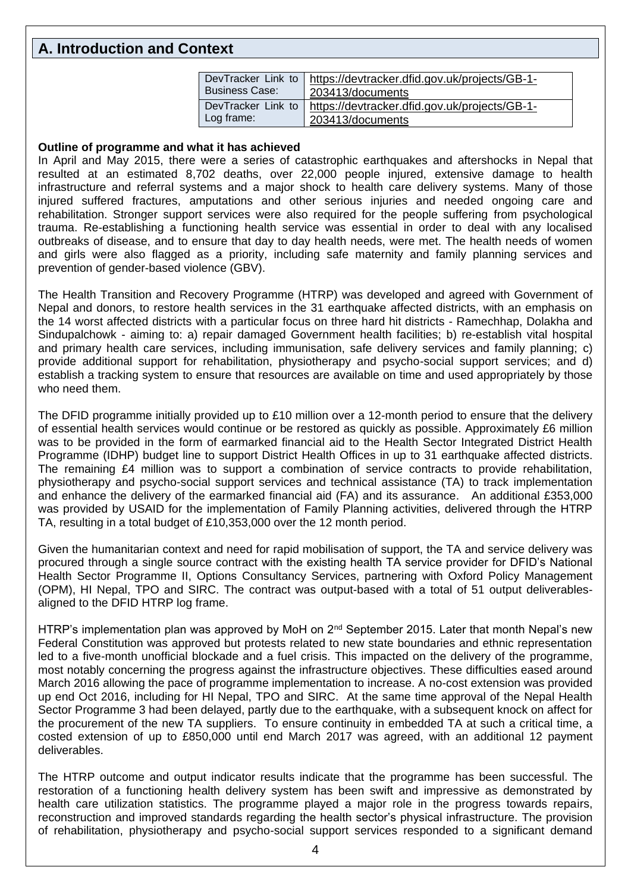# **A. Introduction and Context**

| DevTracker Link to    |                                               |
|-----------------------|-----------------------------------------------|
|                       | https://devtracker.dfid.gov.uk/projects/GB-1- |
| <b>Business Case:</b> | 203413/documents                              |
| DevTracker Link to    | https://devtracker.dfid.gov.uk/projects/GB-1- |
| Log frame:            | 203413/documents                              |

#### **Outline of programme and what it has achieved**

In April and May 2015, there were a series of catastrophic earthquakes and aftershocks in Nepal that resulted at an estimated 8,702 deaths, over 22,000 people injured, extensive damage to health infrastructure and referral systems and a major shock to health care delivery systems. Many of those injured suffered fractures, amputations and other serious injuries and needed ongoing care and rehabilitation. Stronger support services were also required for the people suffering from psychological trauma. Re-establishing a functioning health service was essential in order to deal with any localised outbreaks of disease, and to ensure that day to day health needs, were met. The health needs of women and girls were also flagged as a priority, including safe maternity and family planning services and prevention of gender-based violence (GBV).

The Health Transition and Recovery Programme (HTRP) was developed and agreed with Government of Nepal and donors, to restore health services in the 31 earthquake affected districts, with an emphasis on the 14 worst affected districts with a particular focus on three hard hit districts - Ramechhap, Dolakha and Sindupalchowk - aiming to: a) repair damaged Government health facilities; b) re-establish vital hospital and primary health care services, including immunisation, safe delivery services and family planning; c) provide additional support for rehabilitation, physiotherapy and psycho-social support services; and d) establish a tracking system to ensure that resources are available on time and used appropriately by those who need them.

The DFID programme initially provided up to £10 million over a 12-month period to ensure that the delivery of essential health services would continue or be restored as quickly as possible. Approximately £6 million was to be provided in the form of earmarked financial aid to the Health Sector Integrated District Health Programme (IDHP) budget line to support District Health Offices in up to 31 earthquake affected districts. The remaining £4 million was to support a combination of service contracts to provide rehabilitation, physiotherapy and psycho-social support services and technical assistance (TA) to track implementation and enhance the delivery of the earmarked financial aid (FA) and its assurance. An additional £353,000 was provided by USAID for the implementation of Family Planning activities, delivered through the HTRP TA, resulting in a total budget of £10,353,000 over the 12 month period.

Given the humanitarian context and need for rapid mobilisation of support, the TA and service delivery was procured through a single source contract with the existing health TA service provider for DFID's National Health Sector Programme II, Options Consultancy Services, partnering with Oxford Policy Management (OPM), HI Nepal, TPO and SIRC. The contract was output-based with a total of 51 output deliverablesaligned to the DFID HTRP log frame.

HTRP's implementation plan was approved by MoH on 2<sup>nd</sup> September 2015. Later that month Nepal's new Federal Constitution was approved but protests related to new state boundaries and ethnic representation led to a five-month unofficial blockade and a fuel crisis. This impacted on the delivery of the programme, most notably concerning the progress against the infrastructure objectives. These difficulties eased around March 2016 allowing the pace of programme implementation to increase. A no-cost extension was provided up end Oct 2016, including for HI Nepal, TPO and SIRC. At the same time approval of the Nepal Health Sector Programme 3 had been delayed, partly due to the earthquake, with a subsequent knock on affect for the procurement of the new TA suppliers. To ensure continuity in embedded TA at such a critical time, a costed extension of up to £850,000 until end March 2017 was agreed, with an additional 12 payment deliverables.

The HTRP outcome and output indicator results indicate that the programme has been successful. The restoration of a functioning health delivery system has been swift and impressive as demonstrated by health care utilization statistics. The programme played a major role in the progress towards repairs, reconstruction and improved standards regarding the health sector's physical infrastructure. The provision of rehabilitation, physiotherapy and psycho-social support services responded to a significant demand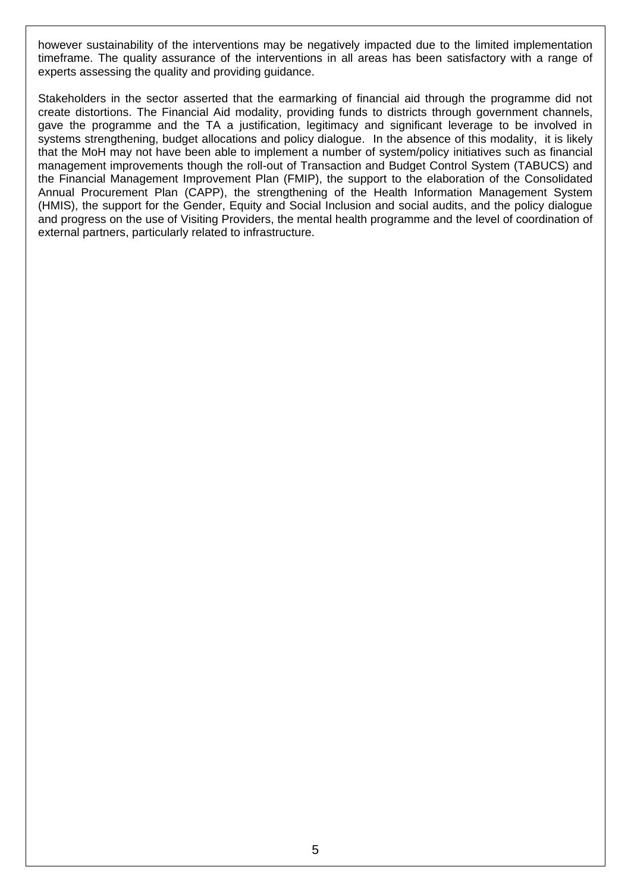however sustainability of the interventions may be negatively impacted due to the limited implementation timeframe. The quality assurance of the interventions in all areas has been satisfactory with a range of experts assessing the quality and providing guidance.

Stakeholders in the sector asserted that the earmarking of financial aid through the programme did not create distortions. The Financial Aid modality, providing funds to districts through government channels, gave the programme and the TA a justification, legitimacy and significant leverage to be involved in systems strengthening, budget allocations and policy dialogue. In the absence of this modality, it is likely that the MoH may not have been able to implement a number of system/policy initiatives such as financial management improvements though the roll-out of Transaction and Budget Control System (TABUCS) and the Financial Management Improvement Plan (FMIP), the support to the elaboration of the Consolidated Annual Procurement Plan (CAPP), the strengthening of the Health Information Management System (HMIS), the support for the Gender, Equity and Social Inclusion and social audits, and the policy dialogue and progress on the use of Visiting Providers, the mental health programme and the level of coordination of external partners, particularly related to infrastructure.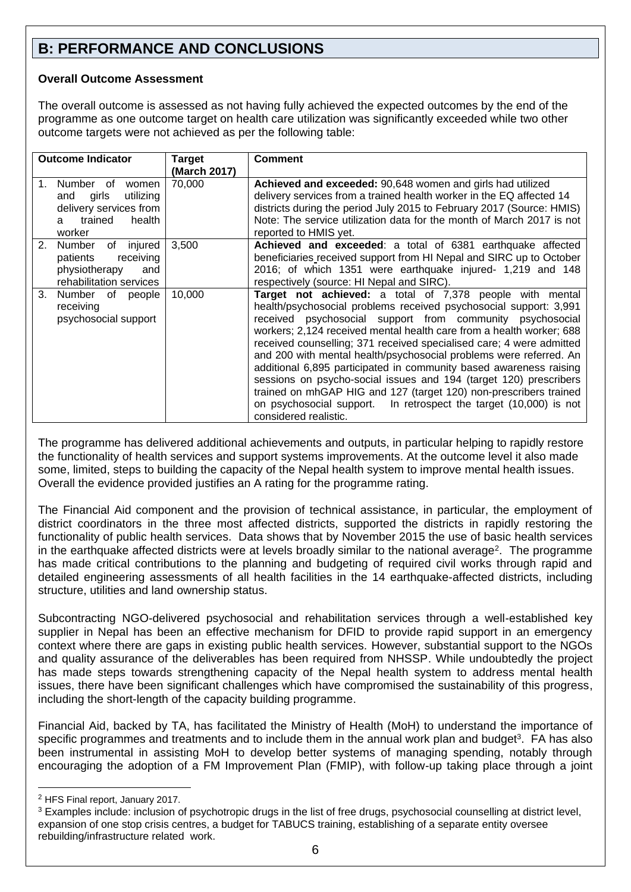# **B: PERFORMANCE AND CONCLUSIONS**

### **Overall Outcome Assessment**

The overall outcome is assessed as not having fully achieved the expected outcomes by the end of the programme as one outcome target on health care utilization was significantly exceeded while two other outcome targets were not achieved as per the following table:

| <b>Outcome Indicator</b>                                                                                                 | Target<br>(March 2017) | <b>Comment</b>                                                                                                                                                                                                                                                                                                                                                                                                                                                                                                                                                                                                                                                                                                                 |
|--------------------------------------------------------------------------------------------------------------------------|------------------------|--------------------------------------------------------------------------------------------------------------------------------------------------------------------------------------------------------------------------------------------------------------------------------------------------------------------------------------------------------------------------------------------------------------------------------------------------------------------------------------------------------------------------------------------------------------------------------------------------------------------------------------------------------------------------------------------------------------------------------|
| Number of<br>$1_{-}$<br>women<br>utilizing<br>girls<br>and<br>delivery services from<br>trained<br>health<br>a<br>worker | 70,000                 | Achieved and exceeded: 90,648 women and girls had utilized<br>delivery services from a trained health worker in the EQ affected 14<br>districts during the period July 2015 to February 2017 (Source: HMIS)<br>Note: The service utilization data for the month of March 2017 is not<br>reported to HMIS yet.                                                                                                                                                                                                                                                                                                                                                                                                                  |
| 2.<br>injured<br>Number<br>of<br>receiving<br>patients<br>physiotherapy<br>and<br>rehabilitation services                | 3,500                  | <b>Achieved and exceeded:</b> a total of 6381 earthquake affected<br>beneficiaries received support from HI Nepal and SIRC up to October<br>2016; of which 1351 were earthquake injured- 1,219 and 148<br>respectively (source: HI Nepal and SIRC).                                                                                                                                                                                                                                                                                                                                                                                                                                                                            |
| 3 <sub>1</sub><br>Number of people<br>receiving<br>psychosocial support                                                  | 10,000                 | Target not achieved: a total of 7,378 people with mental<br>health/psychosocial problems received psychosocial support: 3,991<br>received psychosocial support from community psychosocial<br>workers; 2,124 received mental health care from a health worker; 688<br>received counselling; 371 received specialised care; 4 were admitted<br>and 200 with mental health/psychosocial problems were referred. An<br>additional 6,895 participated in community based awareness raising<br>sessions on psycho-social issues and 194 (target 120) prescribers<br>trained on mhGAP HIG and 127 (target 120) non-prescribers trained<br>on psychosocial support. In retrospect the target (10,000) is not<br>considered realistic. |

The programme has delivered additional achievements and outputs, in particular helping to rapidly restore the functionality of health services and support systems improvements. At the outcome level it also made some, limited, steps to building the capacity of the Nepal health system to improve mental health issues. Overall the evidence provided justifies an A rating for the programme rating.

The Financial Aid component and the provision of technical assistance, in particular, the employment of district coordinators in the three most affected districts, supported the districts in rapidly restoring the functionality of public health services. Data shows that by November 2015 the use of basic health services in the earthquake affected districts were at levels broadly similar to the national average<sup>2</sup>. The programme has made critical contributions to the planning and budgeting of required civil works through rapid and detailed engineering assessments of all health facilities in the 14 earthquake-affected districts, including structure, utilities and land ownership status.

Subcontracting NGO-delivered psychosocial and rehabilitation services through a well-established key supplier in Nepal has been an effective mechanism for DFID to provide rapid support in an emergency context where there are gaps in existing public health services. However, substantial support to the NGOs and quality assurance of the deliverables has been required from NHSSP. While undoubtedly the project has made steps towards strengthening capacity of the Nepal health system to address mental health issues, there have been significant challenges which have compromised the sustainability of this progress, including the short-length of the capacity building programme.

Financial Aid, backed by TA, has facilitated the Ministry of Health (MoH) to understand the importance of specific programmes and treatments and to include them in the annual work plan and budget<sup>3</sup>. FA has also been instrumental in assisting MoH to develop better systems of managing spending, notably through encouraging the adoption of a FM Improvement Plan (FMIP), with follow-up taking place through a joint

1

<sup>2</sup> HFS Final report, January 2017.

<sup>&</sup>lt;sup>3</sup> Examples include: inclusion of psychotropic drugs in the list of free drugs, psychosocial counselling at district level, expansion of one stop crisis centres, a budget for TABUCS training, establishing of a separate entity oversee rebuilding/infrastructure related work.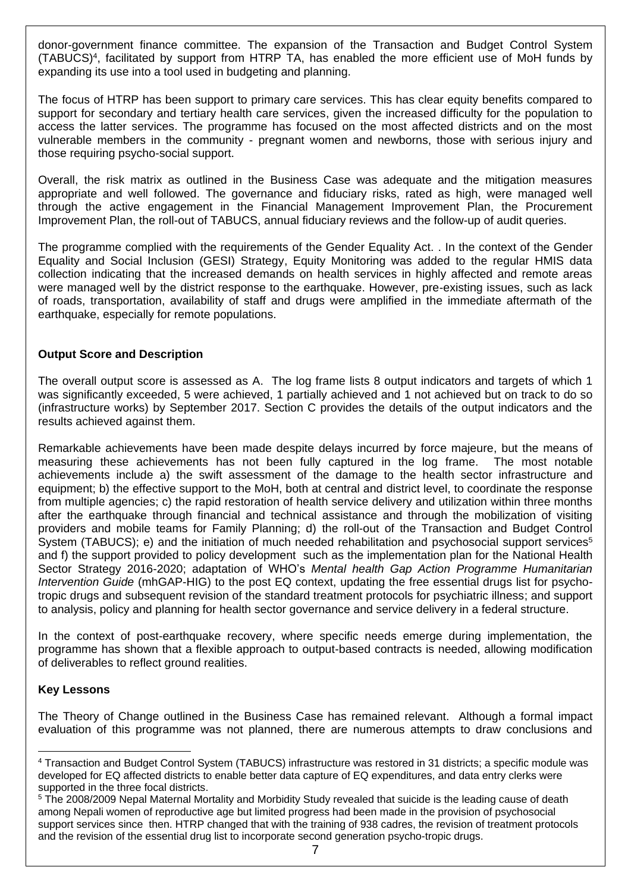donor-government finance committee. The expansion of the Transaction and Budget Control System (TABUCS) 4 , facilitated by support from HTRP TA, has enabled the more efficient use of MoH funds by expanding its use into a tool used in budgeting and planning.

The focus of HTRP has been support to primary care services. This has clear equity benefits compared to support for secondary and tertiary health care services, given the increased difficulty for the population to access the latter services. The programme has focused on the most affected districts and on the most vulnerable members in the community - pregnant women and newborns, those with serious injury and those requiring psycho-social support.

Overall, the risk matrix as outlined in the Business Case was adequate and the mitigation measures appropriate and well followed. The governance and fiduciary risks, rated as high, were managed well through the active engagement in the Financial Management Improvement Plan, the Procurement Improvement Plan, the roll-out of TABUCS, annual fiduciary reviews and the follow-up of audit queries.

The programme complied with the requirements of the Gender Equality Act. . In the context of the Gender Equality and Social Inclusion (GESI) Strategy, Equity Monitoring was added to the regular HMIS data collection indicating that the increased demands on health services in highly affected and remote areas were managed well by the district response to the earthquake. However, pre-existing issues, such as lack of roads, transportation, availability of staff and drugs were amplified in the immediate aftermath of the earthquake, especially for remote populations.

### **Output Score and Description**

The overall output score is assessed as A. The log frame lists 8 output indicators and targets of which 1 was significantly exceeded, 5 were achieved, 1 partially achieved and 1 not achieved but on track to do so (infrastructure works) by September 2017. Section C provides the details of the output indicators and the results achieved against them.

Remarkable achievements have been made despite delays incurred by force majeure, but the means of measuring these achievements has not been fully captured in the log frame. The most notable achievements include a) the swift assessment of the damage to the health sector infrastructure and equipment; b) the effective support to the MoH, both at central and district level, to coordinate the response from multiple agencies; c) the rapid restoration of health service delivery and utilization within three months after the earthquake through financial and technical assistance and through the mobilization of visiting providers and mobile teams for Family Planning; d) the roll-out of the Transaction and Budget Control System (TABUCS); e) and the initiation of much needed rehabilitation and psychosocial support services<sup>5</sup> and f) the support provided to policy development such as the implementation plan for the National Health Sector Strategy 2016-2020; adaptation of WHO's *Mental health Gap Action Programme Humanitarian Intervention Guide* (mhGAP-HIG) to the post EQ context, updating the free essential drugs list for psychotropic drugs and subsequent revision of the standard treatment protocols for psychiatric illness; and support to analysis, policy and planning for health sector governance and service delivery in a federal structure.

In the context of post-earthquake recovery, where specific needs emerge during implementation, the programme has shown that a flexible approach to output-based contracts is needed, allowing modification of deliverables to reflect ground realities.

#### **Key Lessons**

The Theory of Change outlined in the Business Case has remained relevant. Although a formal impact evaluation of this programme was not planned, there are numerous attempts to draw conclusions and

<sup>1</sup> <sup>4</sup> Transaction and Budget Control System (TABUCS) infrastructure was restored in 31 districts; a specific module was developed for EQ affected districts to enable better data capture of EQ expenditures, and data entry clerks were supported in the three focal districts.

<sup>5</sup> The 2008/2009 Nepal Maternal Mortality and Morbidity Study revealed that suicide is the leading cause of death among Nepali women of reproductive age but limited progress had been made in the provision of psychosocial support services since then. HTRP changed that with the training of 938 cadres, the revision of treatment protocols and the revision of the essential drug list to incorporate second generation psycho-tropic drugs.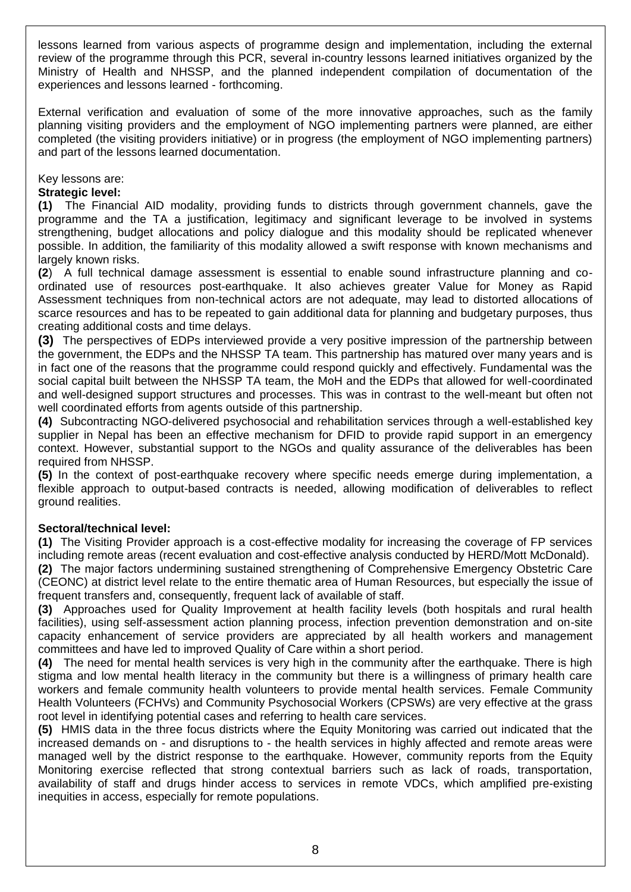lessons learned from various aspects of programme design and implementation, including the external review of the programme through this PCR, several in-country lessons learned initiatives organized by the Ministry of Health and NHSSP, and the planned independent compilation of documentation of the experiences and lessons learned - forthcoming.

External verification and evaluation of some of the more innovative approaches, such as the family planning visiting providers and the employment of NGO implementing partners were planned, are either completed (the visiting providers initiative) or in progress (the employment of NGO implementing partners) and part of the lessons learned documentation.

Key lessons are:

### **Strategic level:**

**(1)** The Financial AID modality, providing funds to districts through government channels, gave the programme and the TA a justification, legitimacy and significant leverage to be involved in systems strengthening, budget allocations and policy dialogue and this modality should be replicated whenever possible. In addition, the familiarity of this modality allowed a swift response with known mechanisms and largely known risks.

**(2**) A full technical damage assessment is essential to enable sound infrastructure planning and coordinated use of resources post-earthquake. It also achieves greater Value for Money as Rapid Assessment techniques from non-technical actors are not adequate, may lead to distorted allocations of scarce resources and has to be repeated to gain additional data for planning and budgetary purposes, thus creating additional costs and time delays.

**(3)** The perspectives of EDPs interviewed provide a very positive impression of the partnership between the government, the EDPs and the NHSSP TA team. This partnership has matured over many years and is in fact one of the reasons that the programme could respond quickly and effectively. Fundamental was the social capital built between the NHSSP TA team, the MoH and the EDPs that allowed for well-coordinated and well-designed support structures and processes. This was in contrast to the well-meant but often not well coordinated efforts from agents outside of this partnership.

**(4)** Subcontracting NGO-delivered psychosocial and rehabilitation services through a well-established key supplier in Nepal has been an effective mechanism for DFID to provide rapid support in an emergency context. However, substantial support to the NGOs and quality assurance of the deliverables has been required from NHSSP.

**(5)** In the context of post-earthquake recovery where specific needs emerge during implementation, a flexible approach to output-based contracts is needed, allowing modification of deliverables to reflect ground realities.

## **Sectoral/technical level:**

**(1)** The Visiting Provider approach is a cost-effective modality for increasing the coverage of FP services including remote areas (recent evaluation and cost-effective analysis conducted by HERD/Mott McDonald). **(2)** The major factors undermining sustained strengthening of Comprehensive Emergency Obstetric Care (CEONC) at district level relate to the entire thematic area of Human Resources, but especially the issue of frequent transfers and, consequently, frequent lack of available of staff.

**(3)** Approaches used for Quality Improvement at health facility levels (both hospitals and rural health facilities), using self-assessment action planning process, infection prevention demonstration and on-site capacity enhancement of service providers are appreciated by all health workers and management committees and have led to improved Quality of Care within a short period.

**(4)** The need for mental health services is very high in the community after the earthquake. There is high stigma and low mental health literacy in the community but there is a willingness of primary health care workers and female community health volunteers to provide mental health services. Female Community Health Volunteers (FCHVs) and Community Psychosocial Workers (CPSWs) are very effective at the grass root level in identifying potential cases and referring to health care services.

**(5)** HMIS data in the three focus districts where the Equity Monitoring was carried out indicated that the increased demands on - and disruptions to - the health services in highly affected and remote areas were managed well by the district response to the earthquake. However, community reports from the Equity Monitoring exercise reflected that strong contextual barriers such as lack of roads, transportation, availability of staff and drugs hinder access to services in remote VDCs, which amplified pre-existing inequities in access, especially for remote populations.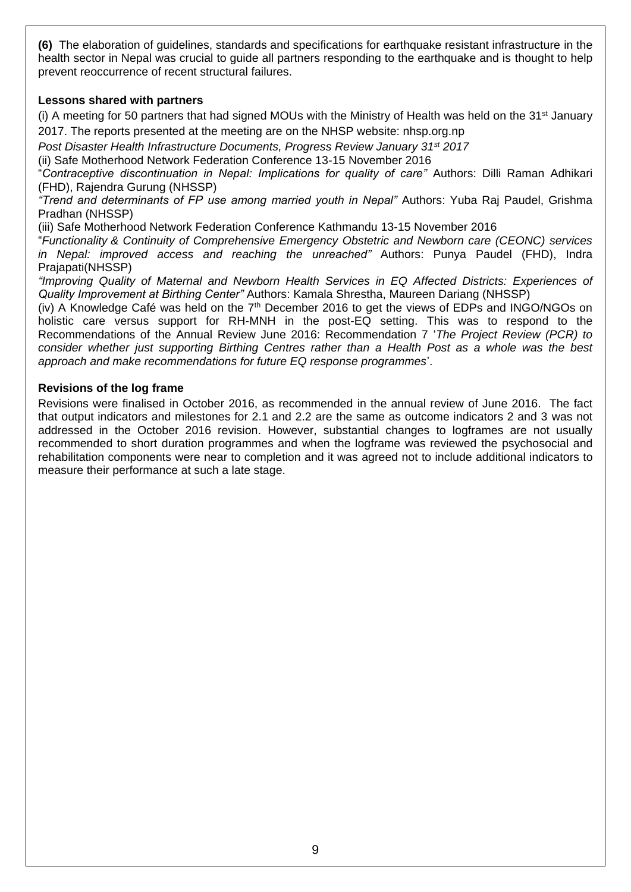**(6)** The elaboration of guidelines, standards and specifications for earthquake resistant infrastructure in the health sector in Nepal was crucial to guide all partners responding to the earthquake and is thought to help prevent reoccurrence of recent structural failures.

### **Lessons shared with partners**

(i) A meeting for 50 partners that had signed MOUs with the Ministry of Health was held on the 31<sup>st</sup> January 2017. The reports presented at the meeting are on the NHSP website: nhsp.org.np

*Post Disaster Health Infrastructure Documents, Progress Review January 31st 2017*

(ii) Safe Motherhood Network Federation Conference 13-15 November 2016

"*Contraceptive discontinuation in Nepal: Implications for quality of care"* Authors: Dilli Raman Adhikari (FHD), Rajendra Gurung (NHSSP)

*"Trend and determinants of FP use among married youth in Nepal"* Authors: Yuba Raj Paudel, Grishma Pradhan (NHSSP)

(iii) Safe Motherhood Network Federation Conference Kathmandu 13-15 November 2016

"*Functionality & Continuity of Comprehensive Emergency Obstetric and Newborn care (CEONC) services in Nepal: improved access and reaching the unreached"* Authors: Punya Paudel (FHD), Indra Prajapati(NHSSP)

*"Improving Quality of Maternal and Newborn Health Services in EQ Affected Districts: Experiences of Quality Improvement at Birthing Center"* Authors: Kamala Shrestha, Maureen Dariang (NHSSP)

(iv) A Knowledge Café was held on the  $7<sup>th</sup>$  December 2016 to get the views of EDPs and INGO/NGOs on holistic care versus support for RH-MNH in the post-EQ setting. This was to respond to the Recommendations of the Annual Review June 2016: Recommendation 7 '*The Project Review (PCR) to consider whether just supporting Birthing Centres rather than a Health Post as a whole was the best approach and make recommendations for future EQ response programmes*'.

#### **Revisions of the log frame**

Revisions were finalised in October 2016, as recommended in the annual review of June 2016. The fact that output indicators and milestones for 2.1 and 2.2 are the same as outcome indicators 2 and 3 was not addressed in the October 2016 revision. However, substantial changes to logframes are not usually recommended to short duration programmes and when the logframe was reviewed the psychosocial and rehabilitation components were near to completion and it was agreed not to include additional indicators to measure their performance at such a late stage.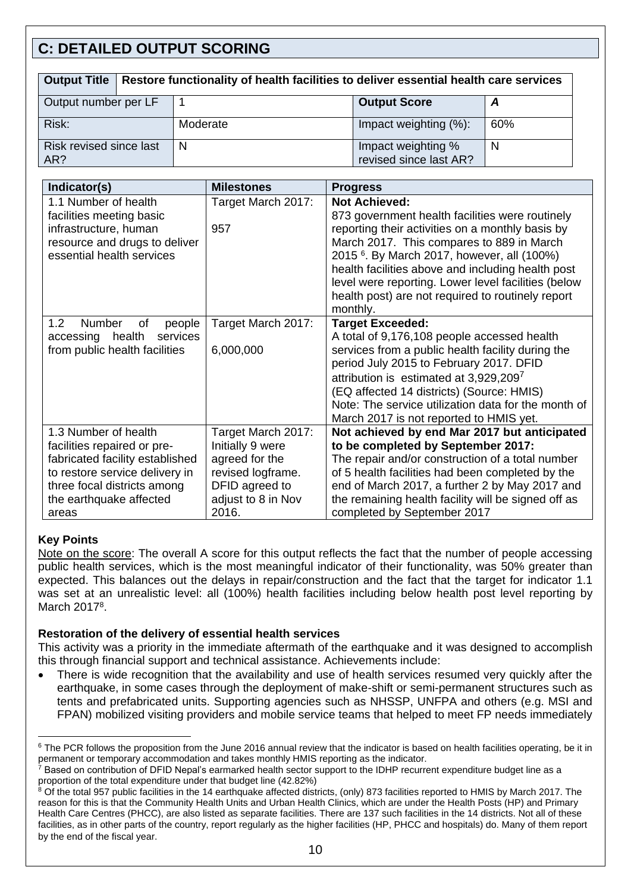# **C: DETAILED OUTPUT SCORING**

| Output Title   Restore functionality of health facilities to deliver essential health care services |  |          |                                              |     |
|-----------------------------------------------------------------------------------------------------|--|----------|----------------------------------------------|-----|
| Output number per LF                                                                                |  |          | <b>Output Score</b>                          |     |
| Risk:                                                                                               |  | Moderate | Impact weighting (%):                        | 60% |
| Risk revised since last<br>AR?                                                                      |  | N        | Impact weighting %<br>revised since last AR? | N   |

| Indicator(s)                               | <b>Milestones</b>  | <b>Progress</b>                                               |
|--------------------------------------------|--------------------|---------------------------------------------------------------|
| 1.1 Number of health                       | Target March 2017: | <b>Not Achieved:</b>                                          |
| facilities meeting basic                   |                    | 873 government health facilities were routinely               |
| infrastructure, human                      | 957                | reporting their activities on a monthly basis by              |
| resource and drugs to deliver              |                    | March 2017. This compares to 889 in March                     |
| essential health services                  |                    | 2015 <sup>6</sup> . By March 2017, however, all (100%)        |
|                                            |                    | health facilities above and including health post             |
|                                            |                    | level were reporting. Lower level facilities (below           |
|                                            |                    | health post) are not required to routinely report<br>monthly. |
| Number<br>1.2 <sub>2</sub><br>οf<br>people | Target March 2017: | <b>Target Exceeded:</b>                                       |
| health<br>services<br>accessing            |                    | A total of 9,176,108 people accessed health                   |
| from public health facilities              | 6,000,000          | services from a public health facility during the             |
|                                            |                    | period July 2015 to February 2017. DFID                       |
|                                            |                    | attribution is estimated at 3,929,2097                        |
|                                            |                    | (EQ affected 14 districts) (Source: HMIS)                     |
|                                            |                    | Note: The service utilization data for the month of           |
|                                            |                    | March 2017 is not reported to HMIS yet.                       |
| 1.3 Number of health                       | Target March 2017: | Not achieved by end Mar 2017 but anticipated                  |
| facilities repaired or pre-                | Initially 9 were   | to be completed by September 2017:                            |
| fabricated facility established            | agreed for the     | The repair and/or construction of a total number              |
| to restore service delivery in             | revised logframe.  | of 5 health facilities had been completed by the              |
| three focal districts among                | DFID agreed to     | end of March 2017, a further 2 by May 2017 and                |
| the earthquake affected                    | adjust to 8 in Nov | the remaining health facility will be signed off as           |
| areas                                      | 2016.              | completed by September 2017                                   |

## **Key Points**

1

Note on the score: The overall A score for this output reflects the fact that the number of people accessing public health services, which is the most meaningful indicator of their functionality, was 50% greater than expected. This balances out the delays in repair/construction and the fact that the target for indicator 1.1 was set at an unrealistic level: all (100%) health facilities including below health post level reporting by March 2017<sup>8</sup>.

## **Restoration of the delivery of essential health services**

This activity was a priority in the immediate aftermath of the earthquake and it was designed to accomplish this through financial support and technical assistance. Achievements include:

 There is wide recognition that the availability and use of health services resumed very quickly after the earthquake, in some cases through the deployment of make-shift or semi-permanent structures such as tents and prefabricated units. Supporting agencies such as NHSSP, UNFPA and others (e.g. MSI and FPAN) mobilized visiting providers and mobile service teams that helped to meet FP needs immediately

 $7$  Based on contribution of DFID Nepal's earmarked health sector support to the IDHP recurrent expenditure budget line as a proportion of the total expenditure under that budget line (42.82%)

<sup>&</sup>lt;sup>6</sup> The PCR follows the proposition from the June 2016 annual review that the indicator is based on health facilities operating, be it in permanent or temporary accommodation and takes monthly HMIS reporting as the indicator.

<sup>&</sup>lt;sup>8</sup> Of the total 957 public facilities in the 14 earthquake affected districts, (only) 873 facilities reported to HMIS by March 2017. The reason for this is that the Community Health Units and Urban Health Clinics, which are under the Health Posts (HP) and Primary Health Care Centres (PHCC), are also listed as separate facilities. There are 137 such facilities in the 14 districts. Not all of these facilities, as in other parts of the country, report regularly as the higher facilities (HP, PHCC and hospitals) do. Many of them report by the end of the fiscal year.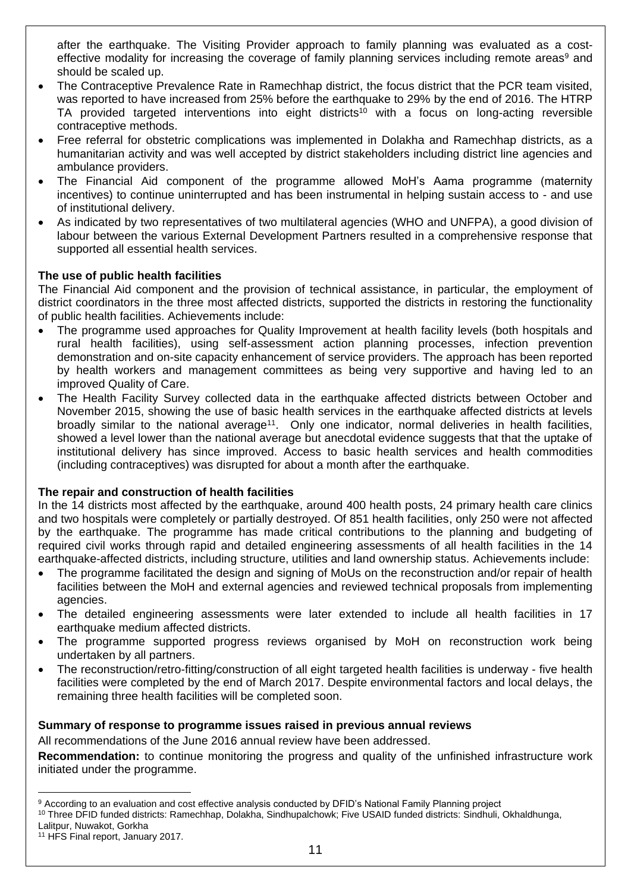after the earthquake. The Visiting Provider approach to family planning was evaluated as a costeffective modality for increasing the coverage of family planning services including remote areas<sup>9</sup> and should be scaled up.

- The Contraceptive Prevalence Rate in Ramechhap district, the focus district that the PCR team visited, was reported to have increased from 25% before the earthquake to 29% by the end of 2016. The HTRP TA provided targeted interventions into eight districts<sup>10</sup> with a focus on long-acting reversible contraceptive methods.
- Free referral for obstetric complications was implemented in Dolakha and Ramechhap districts, as a humanitarian activity and was well accepted by district stakeholders including district line agencies and ambulance providers.
- The Financial Aid component of the programme allowed MoH's Aama programme (maternity incentives) to continue uninterrupted and has been instrumental in helping sustain access to - and use of institutional delivery.
- As indicated by two representatives of two multilateral agencies (WHO and UNFPA), a good division of labour between the various External Development Partners resulted in a comprehensive response that supported all essential health services.

## **The use of public health facilities**

The Financial Aid component and the provision of technical assistance, in particular, the employment of district coordinators in the three most affected districts, supported the districts in restoring the functionality of public health facilities. Achievements include:

- The programme used approaches for Quality Improvement at health facility levels (both hospitals and rural health facilities), using self-assessment action planning processes, infection prevention demonstration and on-site capacity enhancement of service providers. The approach has been reported by health workers and management committees as being very supportive and having led to an improved Quality of Care.
- The Health Facility Survey collected data in the earthquake affected districts between October and November 2015, showing the use of basic health services in the earthquake affected districts at levels broadly similar to the national average<sup>11</sup>. Only one indicator, normal deliveries in health facilities, showed a level lower than the national average but anecdotal evidence suggests that that the uptake of institutional delivery has since improved. Access to basic health services and health commodities (including contraceptives) was disrupted for about a month after the earthquake.

#### **The repair and construction of health facilities**

In the 14 districts most affected by the earthquake, around 400 health posts, 24 primary health care clinics and two hospitals were completely or partially destroyed. Of 851 health facilities, only 250 were not affected by the earthquake. The programme has made critical contributions to the planning and budgeting of required civil works through rapid and detailed engineering assessments of all health facilities in the 14 earthquake-affected districts, including structure, utilities and land ownership status. Achievements include:

- The programme facilitated the design and signing of MoUs on the reconstruction and/or repair of health facilities between the MoH and external agencies and reviewed technical proposals from implementing agencies.
- The detailed engineering assessments were later extended to include all health facilities in 17 earthquake medium affected districts.
- The programme supported progress reviews organised by MoH on reconstruction work being undertaken by all partners.
- The reconstruction/retro-fitting/construction of all eight targeted health facilities is underway five health facilities were completed by the end of March 2017. Despite environmental factors and local delays, the remaining three health facilities will be completed soon.

## **Summary of response to programme issues raised in previous annual reviews**

All recommendations of the June 2016 annual review have been addressed.

**Recommendation:** to continue monitoring the progress and quality of the unfinished infrastructure work initiated under the programme.

<sup>1</sup> <sup>9</sup> According to an evaluation and cost effective analysis conducted by DFID's National Family Planning project

<sup>10</sup> Three DFID funded districts: Ramechhap, Dolakha, Sindhupalchowk; Five USAID funded districts: Sindhuli, Okhaldhunga, Lalitpur, Nuwakot, Gorkha

<sup>11</sup> HFS Final report, January 2017.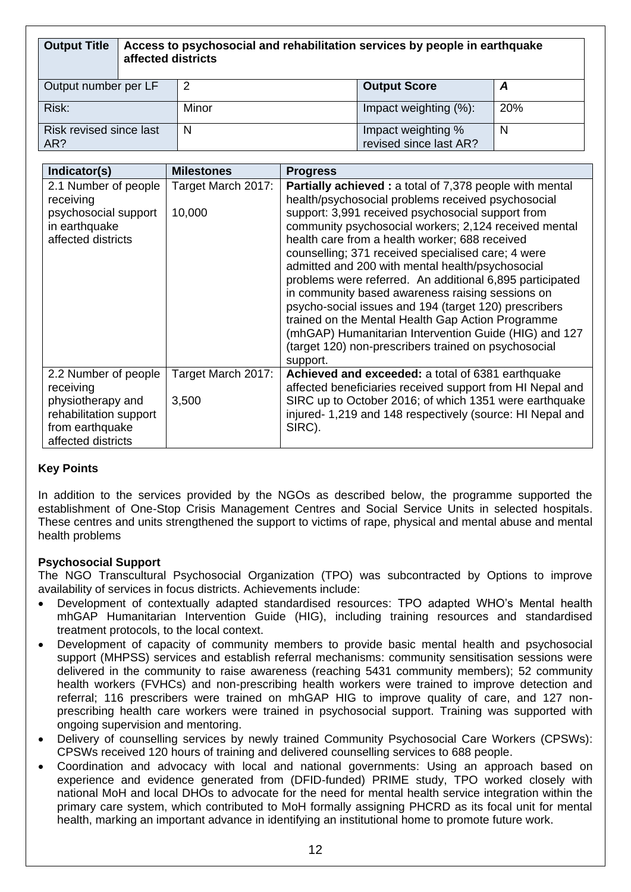| <b>Output Title</b>            | Access to psychosocial and rehabilitation services by people in earthquake<br>affected districts |       |                                              |            |
|--------------------------------|--------------------------------------------------------------------------------------------------|-------|----------------------------------------------|------------|
| Output number per LF           |                                                                                                  | 2     | <b>Output Score</b>                          | A          |
| Risk:                          |                                                                                                  | Minor | Impact weighting (%):                        | <b>20%</b> |
| Risk revised since last<br>AR? |                                                                                                  | N     | Impact weighting %<br>revised since last AR? | N          |

| Indicator(s)                                                                                     | <b>Milestones</b>            | <b>Progress</b>                                                                                                                                                                                                                                                                                                                                                                                                                                                                                                                                                                                                                                                                                                                                           |
|--------------------------------------------------------------------------------------------------|------------------------------|-----------------------------------------------------------------------------------------------------------------------------------------------------------------------------------------------------------------------------------------------------------------------------------------------------------------------------------------------------------------------------------------------------------------------------------------------------------------------------------------------------------------------------------------------------------------------------------------------------------------------------------------------------------------------------------------------------------------------------------------------------------|
| 2.1 Number of people<br>receiving<br>psychosocial support<br>in earthquake<br>affected districts | Target March 2017:<br>10,000 | <b>Partially achieved:</b> a total of 7,378 people with mental<br>health/psychosocial problems received psychosocial<br>support: 3,991 received psychosocial support from<br>community psychosocial workers; 2,124 received mental<br>health care from a health worker; 688 received<br>counselling; 371 received specialised care; 4 were<br>admitted and 200 with mental health/psychosocial<br>problems were referred. An additional 6,895 participated<br>in community based awareness raising sessions on<br>psycho-social issues and 194 (target 120) prescribers<br>trained on the Mental Health Gap Action Programme<br>(mhGAP) Humanitarian Intervention Guide (HIG) and 127<br>(target 120) non-prescribers trained on psychosocial<br>support. |
| 2.2 Number of people<br>receiving                                                                | Target March 2017:           | Achieved and exceeded: a total of 6381 earthquake<br>affected beneficiaries received support from HI Nepal and                                                                                                                                                                                                                                                                                                                                                                                                                                                                                                                                                                                                                                            |
| physiotherapy and<br>rehabilitation support<br>from earthquake<br>affected districts             | 3,500                        | SIRC up to October 2016; of which 1351 were earthquake<br>injured- 1,219 and 148 respectively (source: HI Nepal and<br>SIRC).                                                                                                                                                                                                                                                                                                                                                                                                                                                                                                                                                                                                                             |

## **Key Points**

In addition to the services provided by the NGOs as described below, the programme supported the establishment of One-Stop Crisis Management Centres and Social Service Units in selected hospitals. These centres and units strengthened the support to victims of rape, physical and mental abuse and mental health problems

## **Psychosocial Support**

The NGO Transcultural Psychosocial Organization (TPO) was subcontracted by Options to improve availability of services in focus districts. Achievements include:

- Development of contextually adapted standardised resources: TPO adapted WHO's Mental health mhGAP Humanitarian Intervention Guide (HIG), including training resources and standardised treatment protocols, to the local context.
- Development of capacity of community members to provide basic mental health and psychosocial support (MHPSS) services and establish referral mechanisms: community sensitisation sessions were delivered in the community to raise awareness (reaching 5431 community members); 52 community health workers (FVHCs) and non-prescribing health workers were trained to improve detection and referral; 116 prescribers were trained on mhGAP HIG to improve quality of care, and 127 nonprescribing health care workers were trained in psychosocial support. Training was supported with ongoing supervision and mentoring.
- Delivery of counselling services by newly trained Community Psychosocial Care Workers (CPSWs): CPSWs received 120 hours of training and delivered counselling services to 688 people.
- Coordination and advocacy with local and national governments: Using an approach based on experience and evidence generated from (DFID-funded) PRIME study, TPO worked closely with national MoH and local DHOs to advocate for the need for mental health service integration within the primary care system, which contributed to MoH formally assigning PHCRD as its focal unit for mental health, marking an important advance in identifying an institutional home to promote future work.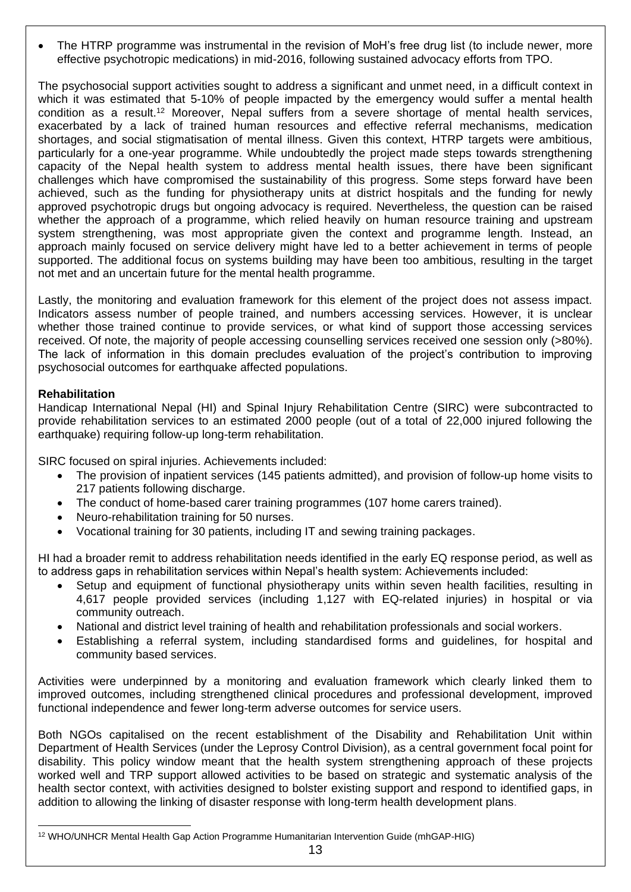The HTRP programme was instrumental in the revision of MoH's free drug list (to include newer, more effective psychotropic medications) in mid-2016, following sustained advocacy efforts from TPO.

The psychosocial support activities sought to address a significant and unmet need, in a difficult context in which it was estimated that 5-10% of people impacted by the emergency would suffer a mental health condition as a result.<sup>12</sup> Moreover, Nepal suffers from a severe shortage of mental health services, exacerbated by a lack of trained human resources and effective referral mechanisms, medication shortages, and social stigmatisation of mental illness. Given this context, HTRP targets were ambitious, particularly for a one-year programme. While undoubtedly the project made steps towards strengthening capacity of the Nepal health system to address mental health issues, there have been significant challenges which have compromised the sustainability of this progress. Some steps forward have been achieved, such as the funding for physiotherapy units at district hospitals and the funding for newly approved psychotropic drugs but ongoing advocacy is required. Nevertheless, the question can be raised whether the approach of a programme, which relied heavily on human resource training and upstream system strengthening, was most appropriate given the context and programme length. Instead, an approach mainly focused on service delivery might have led to a better achievement in terms of people supported. The additional focus on systems building may have been too ambitious, resulting in the target not met and an uncertain future for the mental health programme.

Lastly, the monitoring and evaluation framework for this element of the project does not assess impact. Indicators assess number of people trained, and numbers accessing services. However, it is unclear whether those trained continue to provide services, or what kind of support those accessing services received. Of note, the majority of people accessing counselling services received one session only (>80%). The lack of information in this domain precludes evaluation of the project's contribution to improving psychosocial outcomes for earthquake affected populations.

### **Rehabilitation**

Handicap International Nepal (HI) and Spinal Injury Rehabilitation Centre (SIRC) were subcontracted to provide rehabilitation services to an estimated 2000 people (out of a total of 22,000 injured following the earthquake) requiring follow-up long-term rehabilitation.

SIRC focused on spiral injuries. Achievements included:

- The provision of inpatient services (145 patients admitted), and provision of follow-up home visits to 217 patients following discharge.
- The conduct of home-based carer training programmes (107 home carers trained).
- Neuro-rehabilitation training for 50 nurses.
- Vocational training for 30 patients, including IT and sewing training packages.

HI had a broader remit to address rehabilitation needs identified in the early EQ response period, as well as to address gaps in rehabilitation services within Nepal's health system: Achievements included:

- Setup and equipment of functional physiotherapy units within seven health facilities, resulting in 4,617 people provided services (including 1,127 with EQ-related injuries) in hospital or via community outreach.
- National and district level training of health and rehabilitation professionals and social workers.
- Establishing a referral system, including standardised forms and guidelines, for hospital and community based services.

Activities were underpinned by a monitoring and evaluation framework which clearly linked them to improved outcomes, including strengthened clinical procedures and professional development, improved functional independence and fewer long-term adverse outcomes for service users.

Both NGOs capitalised on the recent establishment of the Disability and Rehabilitation Unit within Department of Health Services (under the Leprosy Control Division), as a central government focal point for disability. This policy window meant that the health system strengthening approach of these projects worked well and TRP support allowed activities to be based on strategic and systematic analysis of the health sector context, with activities designed to bolster existing support and respond to identified gaps, in addition to allowing the linking of disaster response with long-term health development plans.

<sup>1</sup> <sup>12</sup> WHO/UNHCR Mental Health Gap Action Programme Humanitarian Intervention Guide (mhGAP-HIG)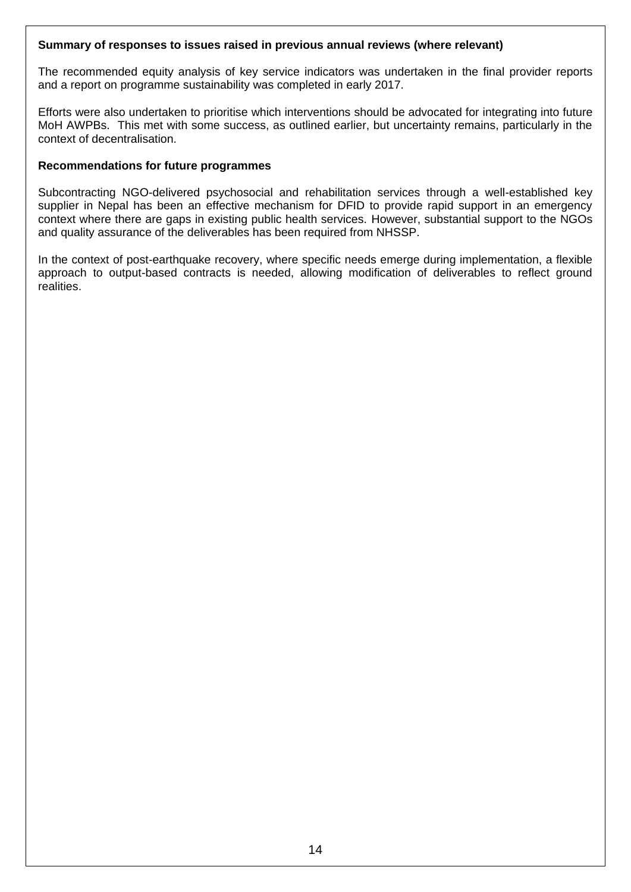#### **Summary of responses to issues raised in previous annual reviews (where relevant)**

The recommended equity analysis of key service indicators was undertaken in the final provider reports and a report on programme sustainability was completed in early 2017.

Efforts were also undertaken to prioritise which interventions should be advocated for integrating into future MoH AWPBs. This met with some success, as outlined earlier, but uncertainty remains, particularly in the context of decentralisation.

#### **Recommendations for future programmes**

Subcontracting NGO-delivered psychosocial and rehabilitation services through a well-established key supplier in Nepal has been an effective mechanism for DFID to provide rapid support in an emergency context where there are gaps in existing public health services. However, substantial support to the NGOs and quality assurance of the deliverables has been required from NHSSP.

In the context of post-earthquake recovery, where specific needs emerge during implementation, a flexible approach to output-based contracts is needed, allowing modification of deliverables to reflect ground realities.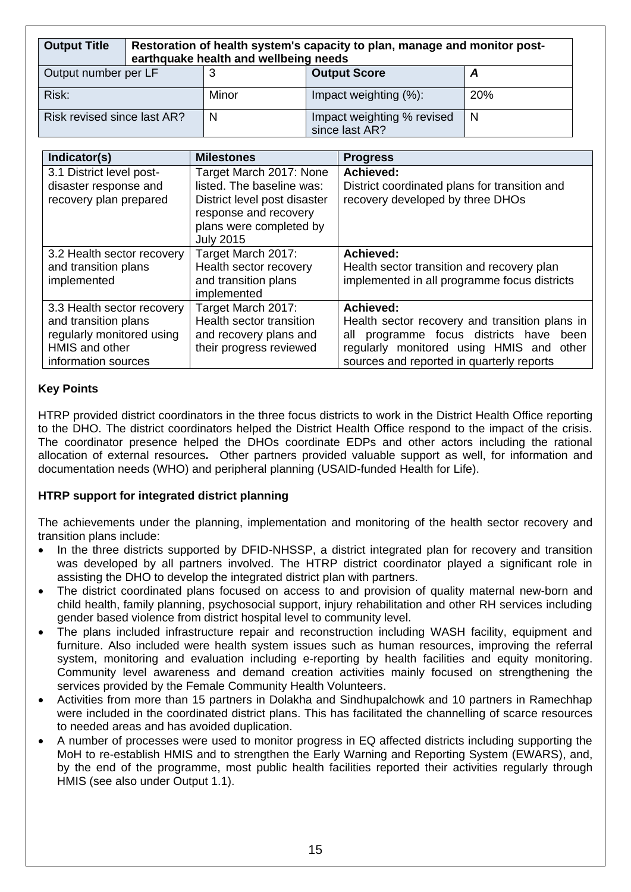| <b>Output Title</b>         | Restoration of health system's capacity to plan, manage and monitor post-<br>earthquake health and wellbeing needs |                          |                                              |            |
|-----------------------------|--------------------------------------------------------------------------------------------------------------------|--------------------------|----------------------------------------------|------------|
| Output number per LF        |                                                                                                                    | <b>Output Score</b><br>A |                                              |            |
| Risk:                       |                                                                                                                    | Minor                    | Impact weighting (%):                        | <b>20%</b> |
| Risk revised since last AR? |                                                                                                                    | N                        | Impact weighting % revised<br>since last AR? | N          |

| Indicator(s)                                                                                                             | <b>Milestones</b>                                                                                                                                            | <b>Progress</b>                                                                                                                                                                                    |
|--------------------------------------------------------------------------------------------------------------------------|--------------------------------------------------------------------------------------------------------------------------------------------------------------|----------------------------------------------------------------------------------------------------------------------------------------------------------------------------------------------------|
| 3.1 District level post-<br>disaster response and<br>recovery plan prepared                                              | Target March 2017: None<br>listed. The baseline was:<br>District level post disaster<br>response and recovery<br>plans were completed by<br><b>July 2015</b> | Achieved:<br>District coordinated plans for transition and<br>recovery developed by three DHOs                                                                                                     |
| 3.2 Health sector recovery<br>and transition plans<br>implemented                                                        | Target March 2017:<br>Health sector recovery<br>and transition plans<br>implemented                                                                          | Achieved:<br>Health sector transition and recovery plan<br>implemented in all programme focus districts                                                                                            |
| 3.3 Health sector recovery<br>and transition plans<br>regularly monitored using<br>HMIS and other<br>information sources | Target March 2017:<br>Health sector transition<br>and recovery plans and<br>their progress reviewed                                                          | Achieved:<br>Health sector recovery and transition plans in<br>all programme focus districts have<br>been<br>regularly monitored using HMIS and other<br>sources and reported in quarterly reports |

## **Key Points**

HTRP provided district coordinators in the three focus districts to work in the District Health Office reporting to the DHO. The district coordinators helped the District Health Office respond to the impact of the crisis. The coordinator presence helped the DHOs coordinate EDPs and other actors including the rational allocation of external resources*.* Other partners provided valuable support as well, for information and documentation needs (WHO) and peripheral planning (USAID-funded Health for Life).

## **HTRP support for integrated district planning**

The achievements under the planning, implementation and monitoring of the health sector recovery and transition plans include:

- In the three districts supported by DFID-NHSSP, a district integrated plan for recovery and transition was developed by all partners involved. The HTRP district coordinator played a significant role in assisting the DHO to develop the integrated district plan with partners.
- The district coordinated plans focused on access to and provision of quality maternal new-born and child health, family planning, psychosocial support, injury rehabilitation and other RH services including gender based violence from district hospital level to community level.
- The plans included infrastructure repair and reconstruction including WASH facility, equipment and furniture. Also included were health system issues such as human resources, improving the referral system, monitoring and evaluation including e-reporting by health facilities and equity monitoring. Community level awareness and demand creation activities mainly focused on strengthening the services provided by the Female Community Health Volunteers.
- Activities from more than 15 partners in Dolakha and Sindhupalchowk and 10 partners in Ramechhap were included in the coordinated district plans. This has facilitated the channelling of scarce resources to needed areas and has avoided duplication.
- A number of processes were used to monitor progress in EQ affected districts including supporting the MoH to re-establish HMIS and to strengthen the Early Warning and Reporting System (EWARS), and, by the end of the programme, most public health facilities reported their activities regularly through HMIS (see also under Output 1.1).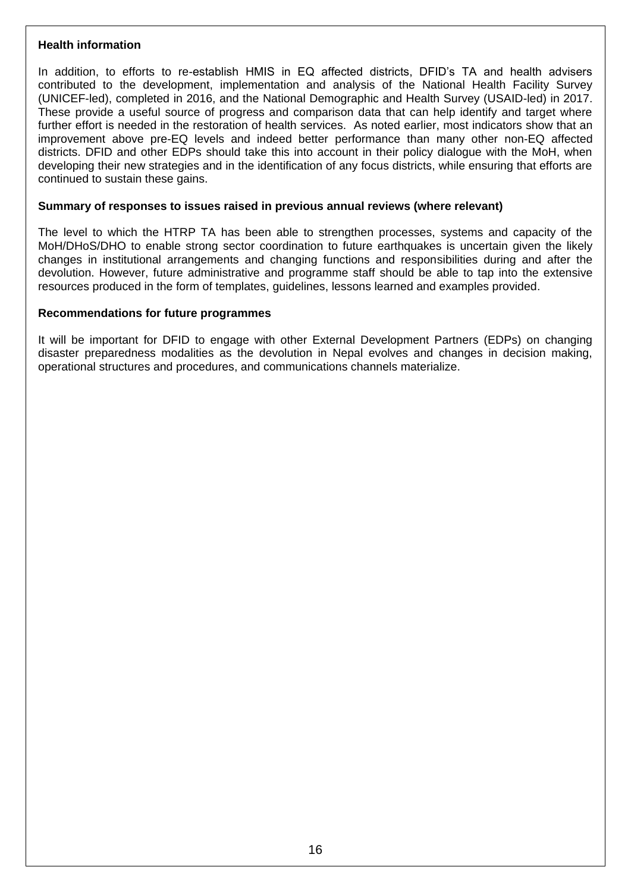#### **Health information**

In addition, to efforts to re-establish HMIS in EQ affected districts, DFID's TA and health advisers contributed to the development, implementation and analysis of the National Health Facility Survey (UNICEF-led), completed in 2016, and the National Demographic and Health Survey (USAID-led) in 2017. These provide a useful source of progress and comparison data that can help identify and target where further effort is needed in the restoration of health services. As noted earlier, most indicators show that an improvement above pre-EQ levels and indeed better performance than many other non-EQ affected districts. DFID and other EDPs should take this into account in their policy dialogue with the MoH, when developing their new strategies and in the identification of any focus districts, while ensuring that efforts are continued to sustain these gains.

#### **Summary of responses to issues raised in previous annual reviews (where relevant)**

The level to which the HTRP TA has been able to strengthen processes, systems and capacity of the MoH/DHoS/DHO to enable strong sector coordination to future earthquakes is uncertain given the likely changes in institutional arrangements and changing functions and responsibilities during and after the devolution. However, future administrative and programme staff should be able to tap into the extensive resources produced in the form of templates, guidelines, lessons learned and examples provided.

#### **Recommendations for future programmes**

It will be important for DFID to engage with other External Development Partners (EDPs) on changing disaster preparedness modalities as the devolution in Nepal evolves and changes in decision making, operational structures and procedures, and communications channels materialize.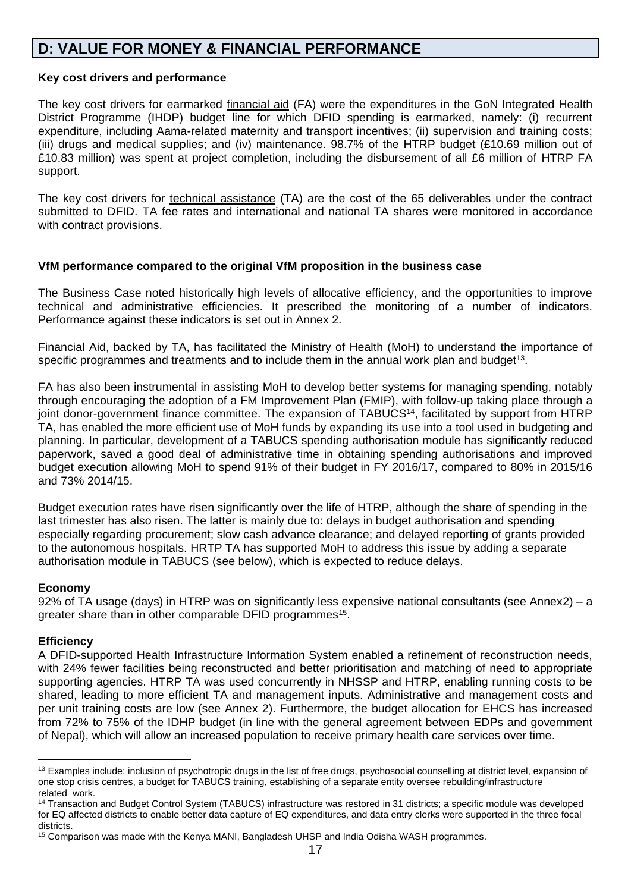# **D: VALUE FOR MONEY & FINANCIAL PERFORMANCE**

#### **Key cost drivers and performance**

The key cost drivers for earmarked financial aid (FA) were the expenditures in the GoN Integrated Health District Programme (IHDP) budget line for which DFID spending is earmarked, namely: (i) recurrent expenditure, including Aama-related maternity and transport incentives; (ii) supervision and training costs; (iii) drugs and medical supplies; and (iv) maintenance. 98.7% of the HTRP budget (£10.69 million out of £10.83 million) was spent at project completion, including the disbursement of all £6 million of HTRP FA support.

The key cost drivers for technical assistance (TA) are the cost of the 65 deliverables under the contract submitted to DFID. TA fee rates and international and national TA shares were monitored in accordance with contract provisions.

### **VfM performance compared to the original VfM proposition in the business case**

The Business Case noted historically high levels of allocative efficiency, and the opportunities to improve technical and administrative efficiencies. It prescribed the monitoring of a number of indicators. Performance against these indicators is set out in Annex 2.

Financial Aid, backed by TA, has facilitated the Ministry of Health (MoH) to understand the importance of specific programmes and treatments and to include them in the annual work plan and budget<sup>13</sup>.

FA has also been instrumental in assisting MoH to develop better systems for managing spending, notably through encouraging the adoption of a FM Improvement Plan (FMIP), with follow-up taking place through a joint donor-government finance committee. The expansion of TABUCS<sup>14</sup>, facilitated by support from HTRP TA, has enabled the more efficient use of MoH funds by expanding its use into a tool used in budgeting and planning. In particular, development of a TABUCS spending authorisation module has significantly reduced paperwork, saved a good deal of administrative time in obtaining spending authorisations and improved budget execution allowing MoH to spend 91% of their budget in FY 2016/17, compared to 80% in 2015/16 and 73% 2014/15.

Budget execution rates have risen significantly over the life of HTRP, although the share of spending in the last trimester has also risen. The latter is mainly due to: delays in budget authorisation and spending especially regarding procurement; slow cash advance clearance; and delayed reporting of grants provided to the autonomous hospitals. HRTP TA has supported MoH to address this issue by adding a separate authorisation module in TABUCS (see below), which is expected to reduce delays.

#### **Economy**

92% of TA usage (days) in HTRP was on significantly less expensive national consultants (see Annex2) – a greater share than in other comparable DFID programmes<sup>15</sup>.

#### **Efficiency**

1

A DFID-supported Health Infrastructure Information System enabled a refinement of reconstruction needs, with 24% fewer facilities being reconstructed and better prioritisation and matching of need to appropriate supporting agencies. HTRP TA was used concurrently in NHSSP and HTRP, enabling running costs to be shared, leading to more efficient TA and management inputs. Administrative and management costs and per unit training costs are low (see Annex 2). Furthermore, the budget allocation for EHCS has increased from 72% to 75% of the IDHP budget (in line with the general agreement between EDPs and government of Nepal), which will allow an increased population to receive primary health care services over time.

<sup>&</sup>lt;sup>13</sup> Examples include: inclusion of psychotropic drugs in the list of free drugs, psychosocial counselling at district level, expansion of one stop crisis centres, a budget for TABUCS training, establishing of a separate entity oversee rebuilding/infrastructure related work.

<sup>&</sup>lt;sup>14</sup> Transaction and Budget Control System (TABUCS) infrastructure was restored in 31 districts; a specific module was developed for EQ affected districts to enable better data capture of EQ expenditures, and data entry clerks were supported in the three focal districts.

<sup>&</sup>lt;sup>15</sup> Comparison was made with the Kenya MANI, Bangladesh UHSP and India Odisha WASH programmes.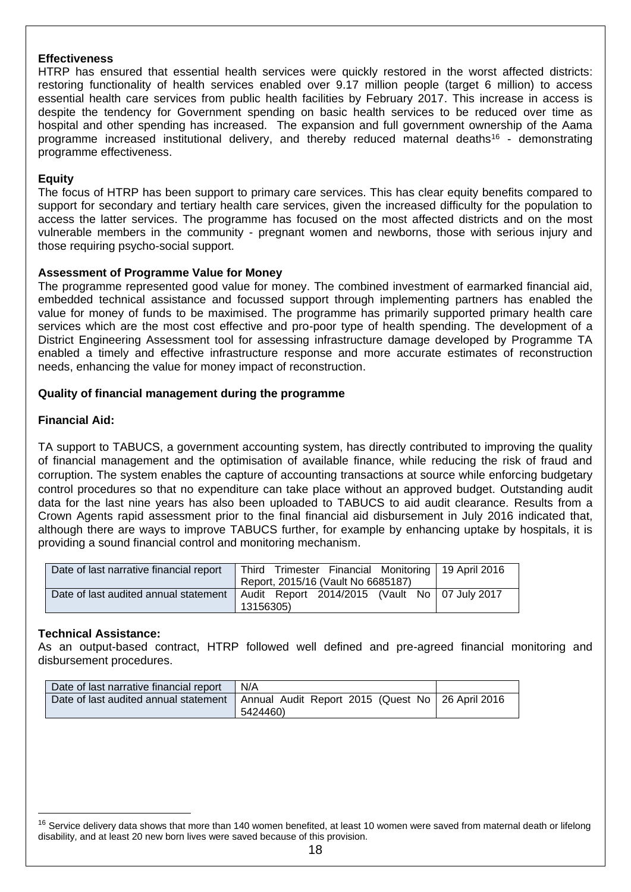#### **Effectiveness**

HTRP has ensured that essential health services were quickly restored in the worst affected districts: restoring functionality of health services enabled over 9.17 million people (target 6 million) to access essential health care services from public health facilities by February 2017. This increase in access is despite the tendency for Government spending on basic health services to be reduced over time as hospital and other spending has increased. The expansion and full government ownership of the Aama programme increased institutional delivery, and thereby reduced maternal deaths<sup>16</sup> - demonstrating programme effectiveness.

#### **Equity**

The focus of HTRP has been support to primary care services. This has clear equity benefits compared to support for secondary and tertiary health care services, given the increased difficulty for the population to access the latter services. The programme has focused on the most affected districts and on the most vulnerable members in the community - pregnant women and newborns, those with serious injury and those requiring psycho-social support.

#### **Assessment of Programme Value for Money**

The programme represented good value for money. The combined investment of earmarked financial aid, embedded technical assistance and focussed support through implementing partners has enabled the value for money of funds to be maximised. The programme has primarily supported primary health care services which are the most cost effective and pro-poor type of health spending. The development of a District Engineering Assessment tool for assessing infrastructure damage developed by Programme TA enabled a timely and effective infrastructure response and more accurate estimates of reconstruction needs, enhancing the value for money impact of reconstruction.

#### **Quality of financial management during the programme**

#### **Financial Aid:**

TA support to TABUCS, a government accounting system, has directly contributed to improving the quality of financial management and the optimisation of available finance, while reducing the risk of fraud and corruption. The system enables the capture of accounting transactions at source while enforcing budgetary control procedures so that no expenditure can take place without an approved budget. Outstanding audit data for the last nine years has also been uploaded to TABUCS to aid audit clearance. Results from a Crown Agents rapid assessment prior to the final financial aid disbursement in July 2016 indicated that, although there are ways to improve TABUCS further, for example by enhancing uptake by hospitals, it is providing a sound financial control and monitoring mechanism.

| Date of last narrative financial report | Third Trimester Financial Monitoring   19 April 2016   |  |
|-----------------------------------------|--------------------------------------------------------|--|
|                                         | Report, 2015/16 (Vault No 6685187)                     |  |
| Date of last audited annual statement   | Audit Report 2014/2015 (Vault No $\sqrt{07}$ July 2017 |  |
|                                         | 13156305)                                              |  |

#### **Technical Assistance:**

1

As an output-based contract, HTRP followed well defined and pre-agreed financial monitoring and disbursement procedures.

| Date of last narrative financial report | N/A                                              |  |
|-----------------------------------------|--------------------------------------------------|--|
| Date of last audited annual statement   | Annual Audit Report 2015 (Quest No 26 April 2016 |  |
|                                         | 5424460)                                         |  |

<sup>&</sup>lt;sup>16</sup> Service delivery data shows that more than 140 women benefited, at least 10 women were saved from maternal death or lifelong disability, and at least 20 new born lives were saved because of this provision.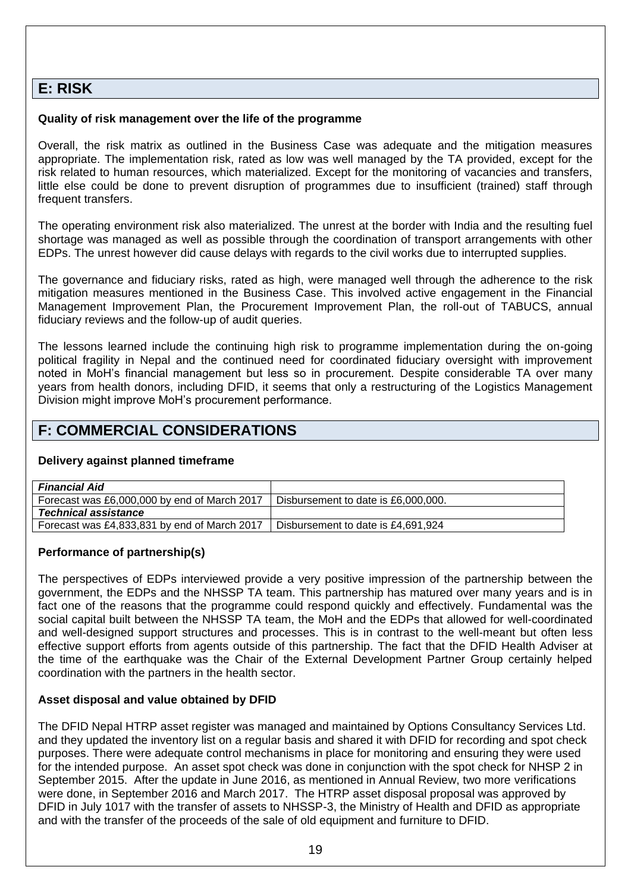## **E: RISK**

#### **Quality of risk management over the life of the programme**

Overall, the risk matrix as outlined in the Business Case was adequate and the mitigation measures appropriate. The implementation risk, rated as low was well managed by the TA provided, except for the risk related to human resources, which materialized. Except for the monitoring of vacancies and transfers, little else could be done to prevent disruption of programmes due to insufficient (trained) staff through frequent transfers.

The operating environment risk also materialized. The unrest at the border with India and the resulting fuel shortage was managed as well as possible through the coordination of transport arrangements with other EDPs. The unrest however did cause delays with regards to the civil works due to interrupted supplies.

The governance and fiduciary risks, rated as high, were managed well through the adherence to the risk mitigation measures mentioned in the Business Case. This involved active engagement in the Financial Management Improvement Plan, the Procurement Improvement Plan, the roll-out of TABUCS, annual fiduciary reviews and the follow-up of audit queries.

The lessons learned include the continuing high risk to programme implementation during the on-going political fragility in Nepal and the continued need for coordinated fiduciary oversight with improvement noted in MoH's financial management but less so in procurement. Despite considerable TA over many years from health donors, including DFID, it seems that only a restructuring of the Logistics Management Division might improve MoH's procurement performance.

# **F: COMMERCIAL CONSIDERATIONS**

#### **Delivery against planned timeframe**

| <b>Financial Aid</b>                         |                                     |
|----------------------------------------------|-------------------------------------|
| Forecast was £6,000,000 by end of March 2017 | Disbursement to date is £6,000,000. |
| <b>Technical assistance</b>                  |                                     |
| Forecast was £4,833,831 by end of March 2017 | Disbursement to date is £4,691,924  |

#### **Performance of partnership(s)**

The perspectives of EDPs interviewed provide a very positive impression of the partnership between the government, the EDPs and the NHSSP TA team. This partnership has matured over many years and is in fact one of the reasons that the programme could respond quickly and effectively. Fundamental was the social capital built between the NHSSP TA team, the MoH and the EDPs that allowed for well-coordinated and well-designed support structures and processes. This is in contrast to the well-meant but often less effective support efforts from agents outside of this partnership. The fact that the DFID Health Adviser at the time of the earthquake was the Chair of the External Development Partner Group certainly helped coordination with the partners in the health sector.

#### **Asset disposal and value obtained by DFID**

The DFID Nepal HTRP asset register was managed and maintained by Options Consultancy Services Ltd. and they updated the inventory list on a regular basis and shared it with DFID for recording and spot check purposes. There were adequate control mechanisms in place for monitoring and ensuring they were used for the intended purpose. An asset spot check was done in conjunction with the spot check for NHSP 2 in September 2015. After the update in June 2016, as mentioned in Annual Review, two more verifications were done, in September 2016 and March 2017. The HTRP asset disposal proposal was approved by DFID in July 1017 with the transfer of assets to NHSSP-3, the Ministry of Health and DFID as appropriate and with the transfer of the proceeds of the sale of old equipment and furniture to DFID.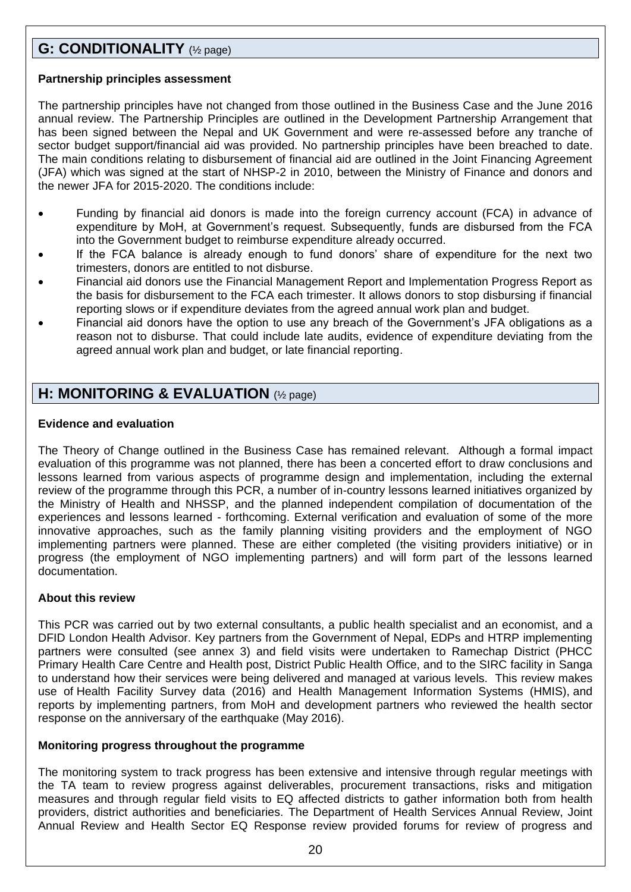# **G: CONDITIONALITY** (½ page)

#### **Partnership principles assessment**

The partnership principles have not changed from those outlined in the Business Case and the June 2016 annual review. The Partnership Principles are outlined in the Development Partnership Arrangement that has been signed between the Nepal and UK Government and were re-assessed before any tranche of sector budget support/financial aid was provided. No partnership principles have been breached to date. The main conditions relating to disbursement of financial aid are outlined in the Joint Financing Agreement (JFA) which was signed at the start of NHSP-2 in 2010, between the Ministry of Finance and donors and the newer JFA for 2015-2020. The conditions include:

- Funding by financial aid donors is made into the foreign currency account (FCA) in advance of expenditure by MoH, at Government's request. Subsequently, funds are disbursed from the FCA into the Government budget to reimburse expenditure already occurred.
- If the FCA balance is already enough to fund donors' share of expenditure for the next two trimesters, donors are entitled to not disburse.
- Financial aid donors use the Financial Management Report and Implementation Progress Report as the basis for disbursement to the FCA each trimester. It allows donors to stop disbursing if financial reporting slows or if expenditure deviates from the agreed annual work plan and budget.
- Financial aid donors have the option to use any breach of the Government's JFA obligations as a reason not to disburse. That could include late audits, evidence of expenditure deviating from the agreed annual work plan and budget, or late financial reporting.

# **H: MONITORING & EVALUATION** (½ page)

### **Evidence and evaluation**

The Theory of Change outlined in the Business Case has remained relevant. Although a formal impact evaluation of this programme was not planned, there has been a concerted effort to draw conclusions and lessons learned from various aspects of programme design and implementation, including the external review of the programme through this PCR, a number of in-country lessons learned initiatives organized by the Ministry of Health and NHSSP, and the planned independent compilation of documentation of the experiences and lessons learned - forthcoming. External verification and evaluation of some of the more innovative approaches, such as the family planning visiting providers and the employment of NGO implementing partners were planned. These are either completed (the visiting providers initiative) or in progress (the employment of NGO implementing partners) and will form part of the lessons learned documentation.

## **About this review**

This PCR was carried out by two external consultants, a public health specialist and an economist, and a DFID London Health Advisor. Key partners from the Government of Nepal, EDPs and HTRP implementing partners were consulted (see annex 3) and field visits were undertaken to Ramechap District (PHCC Primary Health Care Centre and Health post, District Public Health Office, and to the SIRC facility in Sanga to understand how their services were being delivered and managed at various levels. This review makes use of Health Facility Survey data (2016) and Health Management Information Systems (HMIS), and reports by implementing partners, from MoH and development partners who reviewed the health sector response on the anniversary of the earthquake (May 2016).

#### **Monitoring progress throughout the programme**

The monitoring system to track progress has been extensive and intensive through regular meetings with the TA team to review progress against deliverables, procurement transactions, risks and mitigation measures and through regular field visits to EQ affected districts to gather information both from health providers, district authorities and beneficiaries. The Department of Health Services Annual Review, Joint Annual Review and Health Sector EQ Response review provided forums for review of progress and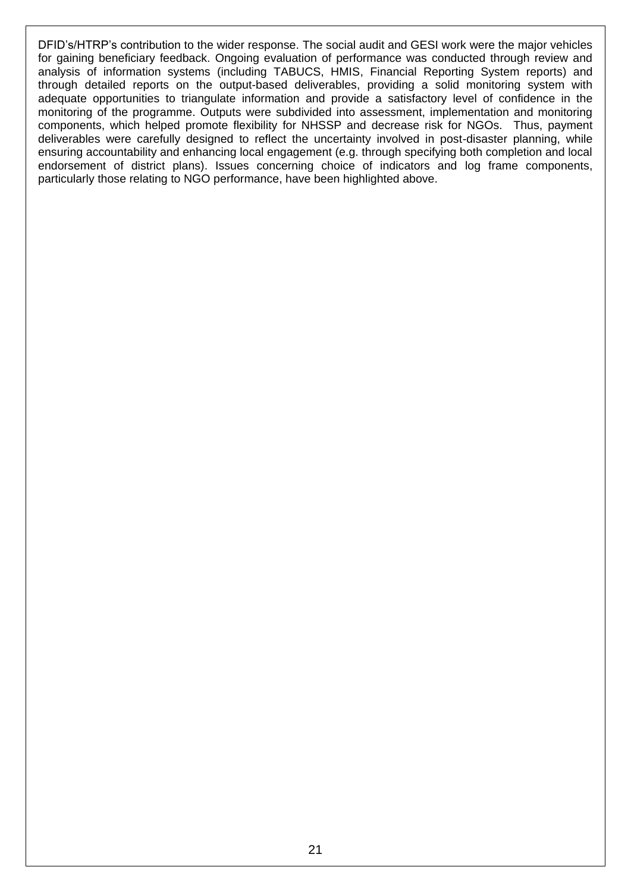DFID's/HTRP's contribution to the wider response. The social audit and GESI work were the major vehicles for gaining beneficiary feedback. Ongoing evaluation of performance was conducted through review and analysis of information systems (including TABUCS, HMIS, Financial Reporting System reports) and through detailed reports on the output-based deliverables, providing a solid monitoring system with adequate opportunities to triangulate information and provide a satisfactory level of confidence in the monitoring of the programme. Outputs were subdivided into assessment, implementation and monitoring components, which helped promote flexibility for NHSSP and decrease risk for NGOs. Thus, payment deliverables were carefully designed to reflect the uncertainty involved in post-disaster planning, while ensuring accountability and enhancing local engagement (e.g. through specifying both completion and local endorsement of district plans). Issues concerning choice of indicators and log frame components, particularly those relating to NGO performance, have been highlighted above.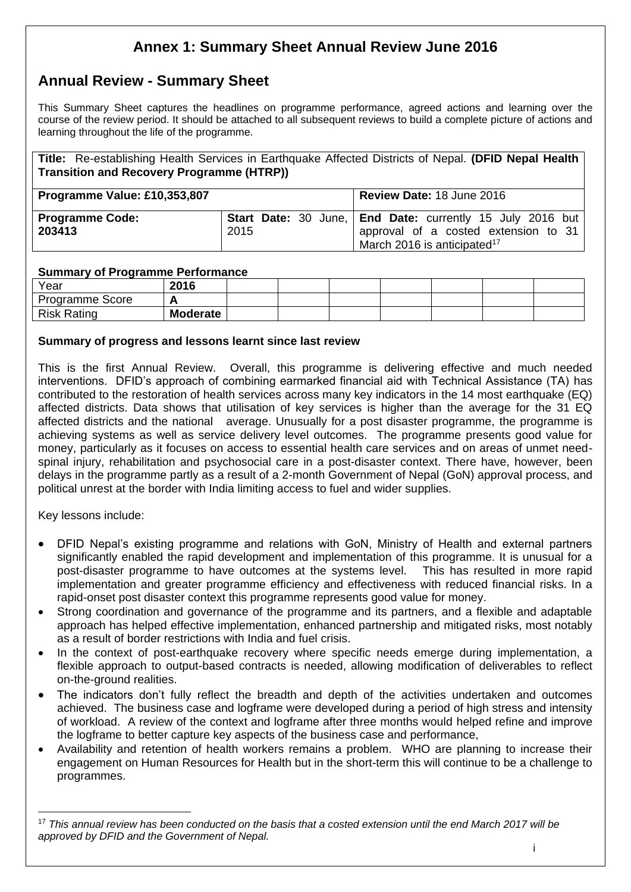# **Annex 1: Summary Sheet Annual Review June 2016**

# **Annual Review - Summary Sheet**

This Summary Sheet captures the headlines on programme performance, agreed actions and learning over the course of the review period. It should be attached to all subsequent reviews to build a complete picture of actions and learning throughout the life of the programme.

**Title:** Re-establishing Health Services in Earthquake Affected Districts of Nepal. **(DFID Nepal Health Transition and Recovery Programme (HTRP))**

| Programme Value: £10,353,807     |      | Review Date: 18 June 2016                                                                                                                                  |  |  |  |
|----------------------------------|------|------------------------------------------------------------------------------------------------------------------------------------------------------------|--|--|--|
| <b>Programme Code:</b><br>203413 | 2015 | <b>Start Date:</b> 30 June, <b>End Date:</b> currently 15 July 2016 but<br>approval of a costed extension to 31<br>March 2016 is anticipated <sup>17</sup> |  |  |  |

#### **Summary of Programme Performance**

| Year                   | 2016            |  |  |  |  |
|------------------------|-----------------|--|--|--|--|
| <b>Programme Score</b> |                 |  |  |  |  |
| <b>Risk Rating</b>     | <b>Moderate</b> |  |  |  |  |

#### **Summary of progress and lessons learnt since last review**

This is the first Annual Review. Overall, this programme is delivering effective and much needed interventions. DFID's approach of combining earmarked financial aid with Technical Assistance (TA) has contributed to the restoration of health services across many key indicators in the 14 most earthquake (EQ) affected districts. Data shows that utilisation of key services is higher than the average for the 31 EQ affected districts and the national average. Unusually for a post disaster programme, the programme is achieving systems as well as service delivery level outcomes. The programme presents good value for money, particularly as it focuses on access to essential health care services and on areas of unmet needspinal injury, rehabilitation and psychosocial care in a post-disaster context. There have, however, been delays in the programme partly as a result of a 2-month Government of Nepal (GoN) approval process, and political unrest at the border with India limiting access to fuel and wider supplies.

Key lessons include:

1

- DFID Nepal's existing programme and relations with GoN, Ministry of Health and external partners significantly enabled the rapid development and implementation of this programme. It is unusual for a post-disaster programme to have outcomes at the systems level. This has resulted in more rapid implementation and greater programme efficiency and effectiveness with reduced financial risks. In a rapid-onset post disaster context this programme represents good value for money.
- Strong coordination and governance of the programme and its partners, and a flexible and adaptable approach has helped effective implementation, enhanced partnership and mitigated risks, most notably as a result of border restrictions with India and fuel crisis.
- In the context of post-earthquake recovery where specific needs emerge during implementation, a flexible approach to output-based contracts is needed, allowing modification of deliverables to reflect on-the-ground realities.
- The indicators don't fully reflect the breadth and depth of the activities undertaken and outcomes achieved. The business case and logframe were developed during a period of high stress and intensity of workload. A review of the context and logframe after three months would helped refine and improve the logframe to better capture key aspects of the business case and performance,
- Availability and retention of health workers remains a problem. WHO are planning to increase their engagement on Human Resources for Health but in the short-term this will continue to be a challenge to programmes.

<sup>17</sup> *This annual review has been conducted on the basis that a costed extension until the end March 2017 will be approved by DFID and the Government of Nepal.*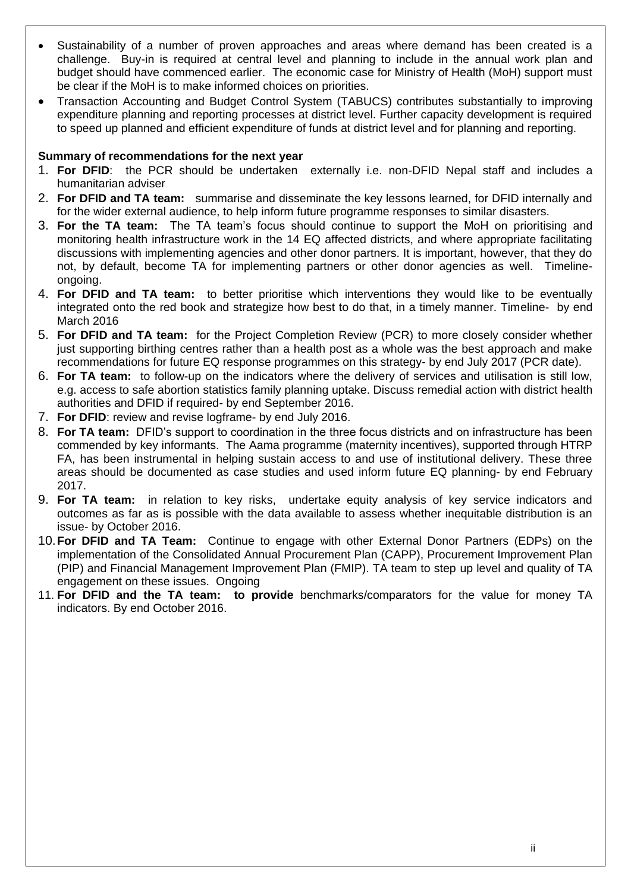- Sustainability of a number of proven approaches and areas where demand has been created is a challenge. Buy-in is required at central level and planning to include in the annual work plan and budget should have commenced earlier. The economic case for Ministry of Health (MoH) support must be clear if the MoH is to make informed choices on priorities.
- Transaction Accounting and Budget Control System (TABUCS) contributes substantially to improving expenditure planning and reporting processes at district level. Further capacity development is required to speed up planned and efficient expenditure of funds at district level and for planning and reporting.

#### **Summary of recommendations for the next year**

- 1. **For DFID**: the PCR should be undertaken externally i.e. non-DFID Nepal staff and includes a humanitarian adviser
- 2. **For DFID and TA team:** summarise and disseminate the key lessons learned, for DFID internally and for the wider external audience, to help inform future programme responses to similar disasters.
- 3. **For the TA team:** The TA team's focus should continue to support the MoH on prioritising and monitoring health infrastructure work in the 14 EQ affected districts, and where appropriate facilitating discussions with implementing agencies and other donor partners. It is important, however, that they do not, by default, become TA for implementing partners or other donor agencies as well. Timelineongoing.
- 4. **For DFID and TA team:** to better prioritise which interventions they would like to be eventually integrated onto the red book and strategize how best to do that, in a timely manner. Timeline- by end March 2016
- 5. **For DFID and TA team:** for the Project Completion Review (PCR) to more closely consider whether just supporting birthing centres rather than a health post as a whole was the best approach and make recommendations for future EQ response programmes on this strategy- by end July 2017 (PCR date).
- 6. **For TA team:** to follow-up on the indicators where the delivery of services and utilisation is still low, e.g. access to safe abortion statistics family planning uptake. Discuss remedial action with district health authorities and DFID if required- by end September 2016.
- 7. **For DFID**: review and revise logframe- by end July 2016.
- 8. **For TA team:** DFID's support to coordination in the three focus districts and on infrastructure has been commended by key informants. The Aama programme (maternity incentives), supported through HTRP FA, has been instrumental in helping sustain access to and use of institutional delivery. These three areas should be documented as case studies and used inform future EQ planning- by end February 2017.
- 9. **For TA team:** in relation to key risks, undertake equity analysis of key service indicators and outcomes as far as is possible with the data available to assess whether inequitable distribution is an issue- by October 2016.
- 10.**For DFID and TA Team:** Continue to engage with other External Donor Partners (EDPs) on the implementation of the Consolidated Annual Procurement Plan (CAPP), Procurement Improvement Plan (PIP) and Financial Management Improvement Plan (FMIP). TA team to step up level and quality of TA engagement on these issues. Ongoing
- 11. **For DFID and the TA team: to provide** benchmarks/comparators for the value for money TA indicators. By end October 2016.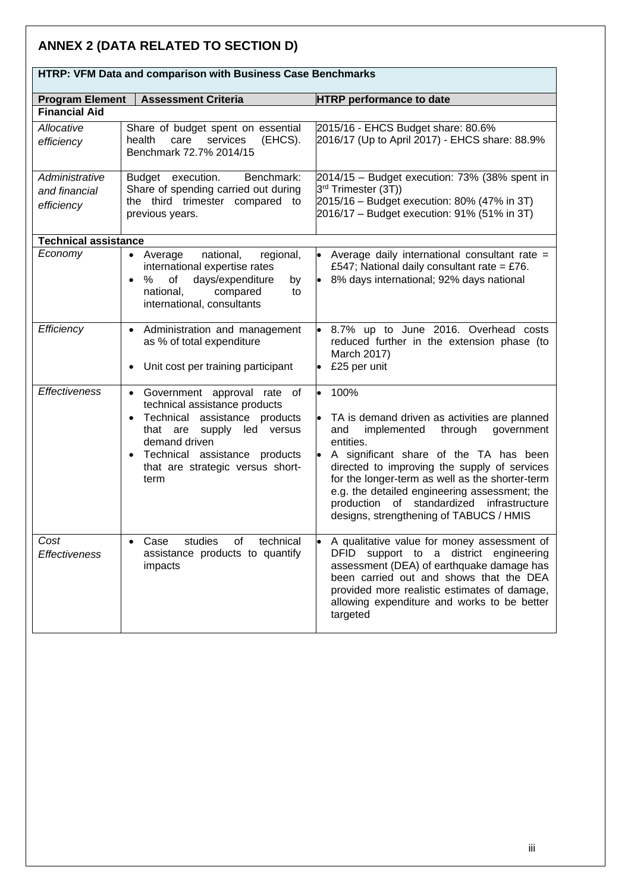# **ANNEX 2 (DATA RELATED TO SECTION D)**

| TITING. YI INI DALA ANG COMPANISON WILINDUSINGSS CASG DENCHINAL NS |                                                                                                                                                                                                                                           |                                                                                                                                                                                                                                                                                                                                                                                                                      |  |  |  |
|--------------------------------------------------------------------|-------------------------------------------------------------------------------------------------------------------------------------------------------------------------------------------------------------------------------------------|----------------------------------------------------------------------------------------------------------------------------------------------------------------------------------------------------------------------------------------------------------------------------------------------------------------------------------------------------------------------------------------------------------------------|--|--|--|
| <b>Program Element</b>                                             | <b>Assessment Criteria</b>                                                                                                                                                                                                                | <b>HTRP</b> performance to date                                                                                                                                                                                                                                                                                                                                                                                      |  |  |  |
| <b>Financial Aid</b>                                               |                                                                                                                                                                                                                                           |                                                                                                                                                                                                                                                                                                                                                                                                                      |  |  |  |
| Allocative<br>efficiency                                           | Share of budget spent on essential<br>services<br>(EHCS).<br>health<br>care<br>Benchmark 72.7% 2014/15                                                                                                                                    | 2015/16 - EHCS Budget share: 80.6%<br>2016/17 (Up to April 2017) - EHCS share: 88.9%                                                                                                                                                                                                                                                                                                                                 |  |  |  |
| Administrative<br>and financial<br>efficiency                      | Budget execution.<br>Benchmark:<br>Share of spending carried out during<br>the third trimester compared to<br>previous years.                                                                                                             | 2014/15 - Budget execution: 73% (38% spent in<br>3 <sup>rd</sup> Trimester (3T))<br>2015/16 - Budget execution: 80% (47% in 3T)<br>2016/17 - Budget execution: 91% (51% in 3T)                                                                                                                                                                                                                                       |  |  |  |
| <b>Technical assistance</b>                                        |                                                                                                                                                                                                                                           |                                                                                                                                                                                                                                                                                                                                                                                                                      |  |  |  |
| Economy                                                            | national,<br>regional,<br>• Average<br>international expertise rates<br>of<br>days/expenditure<br>%<br>by<br>$\bullet$<br>national,<br>compared<br>to<br>international, consultants                                                       | Average daily international consultant rate =<br>£547; National daily consultant rate = £76.<br>8% days international; 92% days national                                                                                                                                                                                                                                                                             |  |  |  |
| Efficiency                                                         | • Administration and management<br>as % of total expenditure<br>Unit cost per training participant<br>$\bullet$                                                                                                                           | 8.7% up to June 2016. Overhead costs<br>reduced further in the extension phase (to<br>March 2017)<br>£25 per unit                                                                                                                                                                                                                                                                                                    |  |  |  |
| <b>Effectiveness</b>                                               | Government approval rate of<br>$\bullet$<br>technical assistance products<br>Technical assistance products<br>supply led versus<br>that are<br>demand driven<br>Technical assistance products<br>that are strategic versus short-<br>term | 100%<br>$\bullet$<br>TA is demand driven as activities are planned<br>implemented<br>through<br>and<br>government<br>entities.<br>A significant share of the TA has been<br>directed to improving the supply of services<br>for the longer-term as well as the shorter-term<br>e.g. the detailed engineering assessment; the<br>production of standardized infrastructure<br>designs, strengthening of TABUCS / HMIS |  |  |  |
| Cost<br><i><b>Effectiveness</b></i>                                | studies<br>of<br>technical<br>Case<br>assistance products to quantify<br>impacts                                                                                                                                                          | A qualitative value for money assessment of<br>DFID support to a district engineering<br>assessment (DEA) of earthquake damage has<br>been carried out and shows that the DEA<br>provided more realistic estimates of damage,<br>allowing expenditure and works to be better<br>targeted                                                                                                                             |  |  |  |

# **HTRP: VFM Data and comparison with Business Case Benchmarks**